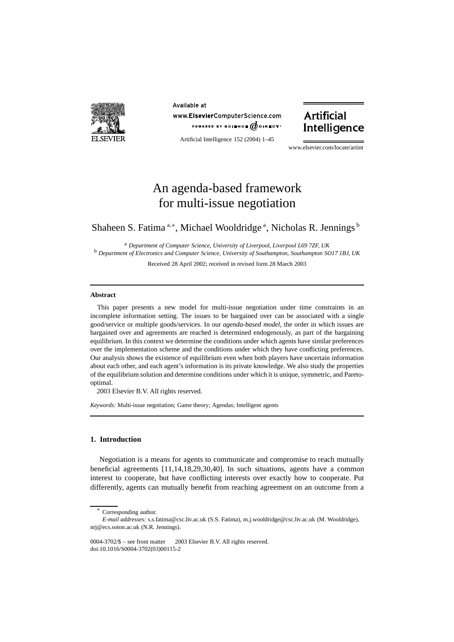

Available at www.ElsevierComputerScience.com POWERED BY SCIENCE @DIRECT\*

Artificial Intelligence 152 (2004) 1–45

# **Artificial** Intelligence

www.elsevier.com/locate/artint

# An agenda-based framework for multi-issue negotiation

# Shaheen S. Fatima<sup>a,∗</sup>, Michael Wooldridge<sup>a</sup>, Nicholas R. Jennings<sup>b</sup>

<sup>a</sup> *Department of Computer Science, University of Liverpool, Liverpool L69 7ZF, UK* <sup>b</sup> *Department of Electronics and Computer Science, University of Southampton, Southampton SO17 1BJ, UK*

Received 28 April 2002; received in revised form 28 March 2003

#### **Abstract**

This paper presents a new model for multi-issue negotiation under time constraints in an incomplete information setting. The issues to be bargained over can be associated with a single good/service or multiple goods/services. In our *agenda-based model*, the order in which issues are bargained over and agreements are reached is determined endogenously, as part of the bargaining equilibrium. In this context we determine the conditions under which agents have similar preferences over the implementation scheme and the conditions under which they have conflicting preferences. Our analysis shows the existence of equilibrium even when both players have uncertain information about each other, and each agent's information is its private knowledge. We also study the properties of the equilibrium solution and determine conditions under which it is unique, symmetric, and Paretooptimal.

2003 Elsevier B.V. All rights reserved.

*Keywords:* Multi-issue negotiation; Game theory; Agendas; Intelligent agents

# **1. Introduction**

Negotiation is a means for agents to communicate and compromise to reach mutually beneficial agreements [11,14,18,29,30,40]. In such situations, agents have a common interest to cooperate, but have conflicting interests over exactly how to cooperate. Put differently, agents can mutually benefit from reaching agreement on an outcome from a

Corresponding author.

*E-mail addresses:* s.s.fatima@csc.liv.ac.uk (S.S. Fatima), m.j.wooldridge@csc.liv.ac.uk (M. Wooldridge), nrj@ecs.soton.ac.uk (N.R. Jennings).

 $0004-3702/\$$  – see front matter  $\degree$  2003 Elsevier B.V. All rights reserved. doi:10.1016/S0004-3702(03)00115-2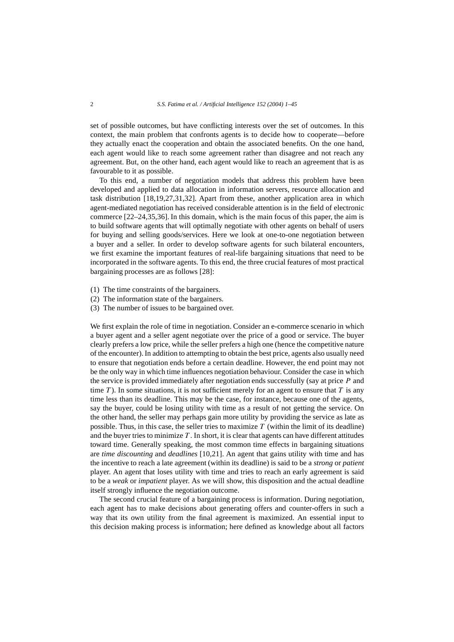set of possible outcomes, but have conflicting interests over the set of outcomes. In this context, the main problem that confronts agents is to decide how to cooperate—before they actually enact the cooperation and obtain the associated benefits. On the one hand, each agent would like to reach some agreement rather than disagree and not reach any agreement. But, on the other hand, each agent would like to reach an agreement that is as favourable to it as possible.

To this end, a number of negotiation models that address this problem have been developed and applied to data allocation in information servers, resource allocation and task distribution [18,19,27,31,32]. Apart from these, another application area in which agent-mediated negotiation has received considerable attention is in the field of electronic commerce [22–24,35,36]. In this domain, which is the main focus of this paper, the aim is to build software agents that will optimally negotiate with other agents on behalf of users for buying and selling goods/services. Here we look at one-to-one negotiation between a buyer and a seller. In order to develop software agents for such bilateral encounters, we first examine the important features of real-life bargaining situations that need to be incorporated in the software agents. To this end, the three crucial features of most practical bargaining processes are as follows [28]:

- (1) The time constraints of the bargainers.
- (2) The information state of the bargainers.
- (3) The number of issues to be bargained over.

We first explain the role of time in negotiation. Consider an e-commerce scenario in which a buyer agent and a seller agent negotiate over the price of a good or service. The buyer clearly prefers a low price, while the seller prefers a high one (hence the competitive nature of the encounter). In addition to attempting to obtain the best price, agents also usually need to ensure that negotiation ends before a certain deadline. However, the end point may not be the only way in which time influences negotiation behaviour. Consider the case in which the service is provided immediately after negotiation ends successfully (say at price *P* and time *T* ). In some situations, it is not sufficient merely for an agent to ensure that *T* is any time less than its deadline. This may be the case, for instance, because one of the agents, say the buyer, could be losing utility with time as a result of not getting the service. On the other hand, the seller may perhaps gain more utility by providing the service as late as possible. Thus, in this case, the seller tries to maximize  $T$  (within the limit of its deadline) and the buyer tries to minimize  $T$ . In short, it is clear that agents can have different attitudes toward time. Generally speaking, the most common time effects in bargaining situations are *time discounting* and *deadlines* [10,21]. An agent that gains utility with time and has the incentive to reach a late agreement (within its deadline) is said to be a *strong* or *patient* player. An agent that loses utility with time and tries to reach an early agreement is said to be a *weak* or *impatient* player. As we will show, this disposition and the actual deadline itself strongly influence the negotiation outcome.

The second crucial feature of a bargaining process is information. During negotiation, each agent has to make decisions about generating offers and counter-offers in such a way that its own utility from the final agreement is maximized. An essential input to this decision making process is information; here defined as knowledge about all factors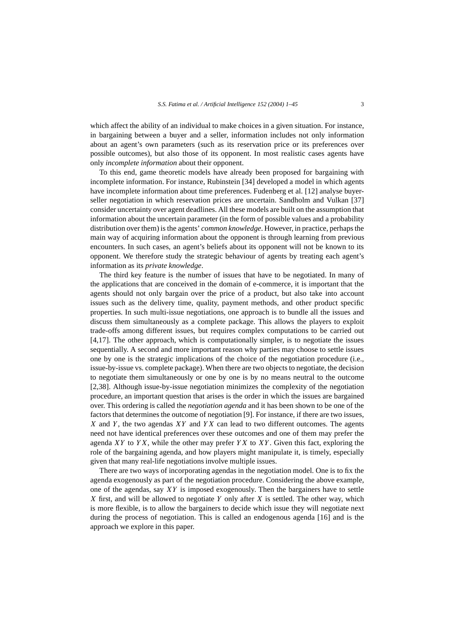which affect the ability of an individual to make choices in a given situation. For instance, in bargaining between a buyer and a seller, information includes not only information about an agent's own parameters (such as its reservation price or its preferences over possible outcomes), but also those of its opponent. In most realistic cases agents have only *incomplete information* about their opponent.

To this end, game theoretic models have already been proposed for bargaining with incomplete information. For instance, Rubinstein [34] developed a model in which agents have incomplete information about time preferences. Fudenberg et al. [12] analyse buyerseller negotiation in which reservation prices are uncertain. Sandholm and Vulkan [37] consider uncertainty over agent deadlines. All these models are built on the assumption that information about the uncertain parameter (in the form of possible values and a probability distribution over them) is the agents' *common knowledge*. However, in practice, perhaps the main way of acquiring information about the opponent is through learning from previous encounters. In such cases, an agent's beliefs about its opponent will not be known to its opponent. We therefore study the strategic behaviour of agents by treating each agent's information as its *private knowledge*.

The third key feature is the number of issues that have to be negotiated. In many of the applications that are conceived in the domain of e-commerce, it is important that the agents should not only bargain over the price of a product, but also take into account issues such as the delivery time, quality, payment methods, and other product specific properties. In such multi-issue negotiations, one approach is to bundle all the issues and discuss them simultaneously as a complete package. This allows the players to exploit trade-offs among different issues, but requires complex computations to be carried out [4,17]. The other approach, which is computationally simpler, is to negotiate the issues sequentially. A second and more important reason why parties may choose to settle issues one by one is the strategic implications of the choice of the negotiation procedure (i.e., issue-by-issue vs. complete package). When there are two objects to negotiate, the decision to negotiate them simultaneously or one by one is by no means neutral to the outcome [2,38]. Although issue-by-issue negotiation minimizes the complexity of the negotiation procedure, an important question that arises is the order in which the issues are bargained over. This ordering is called the *negotiation agenda* and it has been shown to be one of the factors that determines the outcome of negotiation [9]. For instance, if there are two issues, *X* and *Y* , the two agendas *XY* and *Y X* can lead to two different outcomes. The agents need not have identical preferences over these outcomes and one of them may prefer the agenda *XY* to *Y X*, while the other may prefer *Y X* to *XY* . Given this fact, exploring the role of the bargaining agenda, and how players might manipulate it, is timely, especially given that many real-life negotiations involve multiple issues.

There are two ways of incorporating agendas in the negotiation model. One is to fix the agenda exogenously as part of the negotiation procedure. Considering the above example, one of the agendas, say *XY* is imposed exogenously. Then the bargainers have to settle *X* first, and will be allowed to negotiate *Y* only after *X* is settled. The other way, which is more flexible, is to allow the bargainers to decide which issue they will negotiate next during the process of negotiation. This is called an endogenous agenda [16] and is the approach we explore in this paper.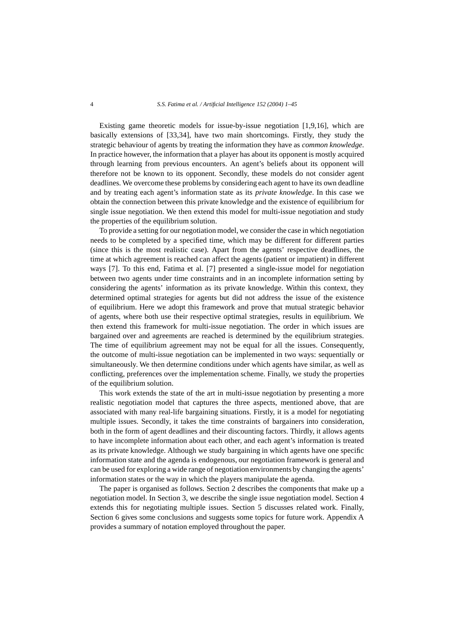Existing game theoretic models for issue-by-issue negotiation [1,9,16], which are basically extensions of [33,34], have two main shortcomings. Firstly, they study the strategic behaviour of agents by treating the information they have as *common knowledge*. In practice however, the information that a player has about its opponent is mostly acquired through learning from previous encounters. An agent's beliefs about its opponent will therefore not be known to its opponent. Secondly, these models do not consider agent deadlines. We overcome these problems by considering each agent to have its own deadline and by treating each agent's information state as its *private knowledge*. In this case we obtain the connection between this private knowledge and the existence of equilibrium for single issue negotiation. We then extend this model for multi-issue negotiation and study the properties of the equilibrium solution.

To provide a setting for our negotiation model, we consider the case in which negotiation needs to be completed by a specified time, which may be different for different parties (since this is the most realistic case). Apart from the agents' respective deadlines, the time at which agreement is reached can affect the agents (patient or impatient) in different ways [7]. To this end, Fatima et al. [7] presented a single-issue model for negotiation between two agents under time constraints and in an incomplete information setting by considering the agents' information as its private knowledge. Within this context, they determined optimal strategies for agents but did not address the issue of the existence of equilibrium. Here we adopt this framework and prove that mutual strategic behavior of agents, where both use their respective optimal strategies, results in equilibrium. We then extend this framework for multi-issue negotiation. The order in which issues are bargained over and agreements are reached is determined by the equilibrium strategies. The time of equilibrium agreement may not be equal for all the issues. Consequently, the outcome of multi-issue negotiation can be implemented in two ways: sequentially or simultaneously. We then determine conditions under which agents have similar, as well as conflicting, preferences over the implementation scheme. Finally, we study the properties of the equilibrium solution.

This work extends the state of the art in multi-issue negotiation by presenting a more realistic negotiation model that captures the three aspects, mentioned above, that are associated with many real-life bargaining situations. Firstly, it is a model for negotiating multiple issues. Secondly, it takes the time constraints of bargainers into consideration, both in the form of agent deadlines and their discounting factors. Thirdly, it allows agents to have incomplete information about each other, and each agent's information is treated as its private knowledge. Although we study bargaining in which agents have one specific information state and the agenda is endogenous, our negotiation framework is general and can be used for exploring a wide range of negotiation environments by changing the agents' information states or the way in which the players manipulate the agenda.

The paper is organised as follows. Section 2 describes the components that make up a negotiation model. In Section 3, we describe the single issue negotiation model. Section 4 extends this for negotiating multiple issues. Section 5 discusses related work. Finally, Section 6 gives some conclusions and suggests some topics for future work. Appendix A provides a summary of notation employed throughout the paper.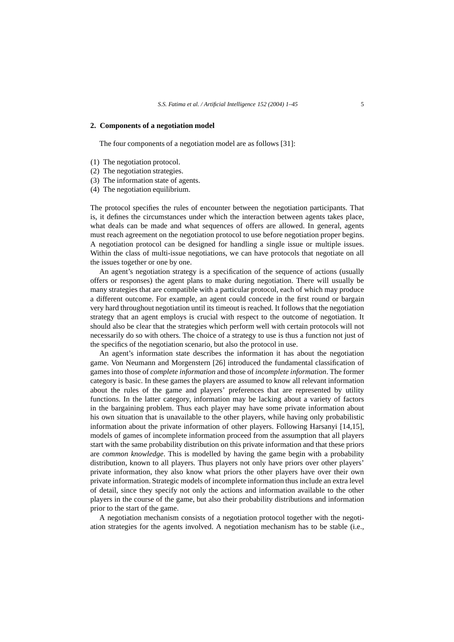# **2. Components of a negotiation model**

The four components of a negotiation model are as follows [31]:

- (1) The negotiation protocol.
- (2) The negotiation strategies.
- (3) The information state of agents.
- (4) The negotiation equilibrium.

The protocol specifies the rules of encounter between the negotiation participants. That is, it defines the circumstances under which the interaction between agents takes place, what deals can be made and what sequences of offers are allowed. In general, agents must reach agreement on the negotiation protocol to use before negotiation proper begins. A negotiation protocol can be designed for handling a single issue or multiple issues. Within the class of multi-issue negotiations, we can have protocols that negotiate on all the issues together or one by one.

An agent's negotiation strategy is a specification of the sequence of actions (usually offers or responses) the agent plans to make during negotiation. There will usually be many strategies that are compatible with a particular protocol, each of which may produce a different outcome. For example, an agent could concede in the first round or bargain very hard throughout negotiation until its timeout is reached. It follows that the negotiation strategy that an agent employs is crucial with respect to the outcome of negotiation. It should also be clear that the strategies which perform well with certain protocols will not necessarily do so with others. The choice of a strategy to use is thus a function not just of the specifics of the negotiation scenario, but also the protocol in use.

An agent's information state describes the information it has about the negotiation game. Von Neumann and Morgenstern [26] introduced the fundamental classification of games into those of *complete information* and those of *incomplete information*. The former category is basic. In these games the players are assumed to know all relevant information about the rules of the game and players' preferences that are represented by utility functions. In the latter category, information may be lacking about a variety of factors in the bargaining problem. Thus each player may have some private information about his own situation that is unavailable to the other players, while having only probabilistic information about the private information of other players. Following Harsanyi [14,15], models of games of incomplete information proceed from the assumption that all players start with the same probability distribution on this private information and that these priors are *common knowledge*. This is modelled by having the game begin with a probability distribution, known to all players. Thus players not only have priors over other players' private information, they also know what priors the other players have over their own private information. Strategic models of incomplete information thus include an extra level of detail, since they specify not only the actions and information available to the other players in the course of the game, but also their probability distributions and information prior to the start of the game.

A negotiation mechanism consists of a negotiation protocol together with the negotiation strategies for the agents involved. A negotiation mechanism has to be stable (i.e.,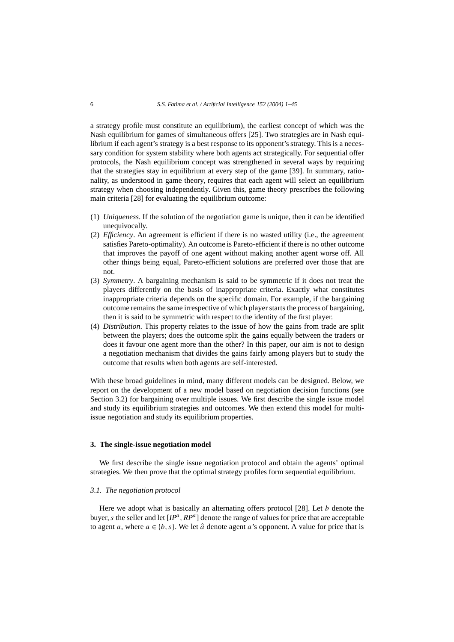a strategy profile must constitute an equilibrium), the earliest concept of which was the Nash equilibrium for games of simultaneous offers [25]. Two strategies are in Nash equilibrium if each agent's strategy is a best response to its opponent's strategy. This is a necessary condition for system stability where both agents act strategically. For sequential offer protocols, the Nash equilibrium concept was strengthened in several ways by requiring that the strategies stay in equilibrium at every step of the game [39]. In summary, rationality, as understood in game theory, requires that each agent will select an equilibrium strategy when choosing independently. Given this, game theory prescribes the following main criteria [28] for evaluating the equilibrium outcome:

- (1) *Uniqueness*. If the solution of the negotiation game is unique, then it can be identified unequivocally.
- (2) *Efficiency*. An agreement is efficient if there is no wasted utility (i.e., the agreement satisfies Pareto-optimality). An outcome is Pareto-efficient if there is no other outcome that improves the payoff of one agent without making another agent worse off. All other things being equal, Pareto-efficient solutions are preferred over those that are not.
- (3) *Symmetry*. A bargaining mechanism is said to be symmetric if it does not treat the players differently on the basis of inappropriate criteria. Exactly what constitutes inappropriate criteria depends on the specific domain. For example, if the bargaining outcome remains the same irrespective of which player starts the process of bargaining, then it is said to be symmetric with respect to the identity of the first player.
- (4) *Distribution*. This property relates to the issue of how the gains from trade are split between the players; does the outcome split the gains equally between the traders or does it favour one agent more than the other? In this paper, our aim is not to design a negotiation mechanism that divides the gains fairly among players but to study the outcome that results when both agents are self-interested.

With these broad guidelines in mind, many different models can be designed. Below, we report on the development of a new model based on negotiation decision functions (see Section 3.2) for bargaining over multiple issues. We first describe the single issue model and study its equilibrium strategies and outcomes. We then extend this model for multiissue negotiation and study its equilibrium properties.

#### **3. The single-issue negotiation model**

We first describe the single issue negotiation protocol and obtain the agents' optimal strategies. We then prove that the optimal strategy profiles form sequential equilibrium.

# *3.1. The negotiation protocol*

Here we adopt what is basically an alternating offers protocol [28]. Let *b* denote the buyer, *s* the seller and let [*IPa,RPa*] denote the range of values for price that are acceptable to agent *a*, where  $a \in \{b, s\}$ . We let  $\hat{a}$  denote agent *a*'s opponent. A value for price that is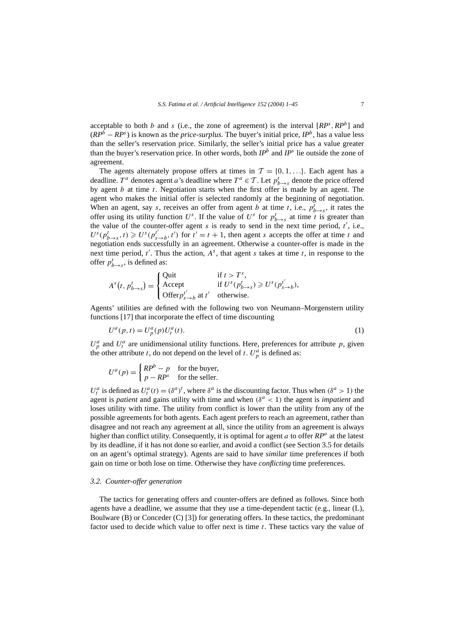acceptable to both *b* and *s* (i.e., the zone of agreement) is the interval  $[RP^s, RP^b]$  and  $(RP^b - RP^s)$  is known as the *price-surplus*. The buyer's initial price,  $IP^b$ , has a value less than the seller's reservation price. Similarly, the seller's initial price has a value greater than the buyer's reservation price. In other words, both *IP<sup>b</sup>* and *IP<sup>s</sup>* lie outside the zone of agreement.

The agents alternately propose offers at times in  $\mathcal{T} = \{0, 1, ...\}$ . Each agent has a deadline. *T*<sup>*a*</sup> denotes agent *a*'s deadline where  $T^a \in T$ . Let  $p^t_{b \to s}$  denote the price offered by agent *b* at time *t*. Negotiation starts when the first offer is made by an agent. The agent who makes the initial offer is selected randomly at the beginning of negotiation. When an agent, say *s*, receives an offer from agent *b* at time *t*, i.e.,  $p_{b\rightarrow s}^t$ , it rates the offer using its utility function  $U^s$ . If the value of  $U^s$  for  $p^t_{b \to s}$  at time *t* is greater than the value of the counter-offer agent  $s$  is ready to send in the next time period,  $t'$ , i.e.,  $U^s(p_{b\to s}^t, t) \geq U^s(p_{s\to b}^{t'}, t')$  for  $t' = t + 1$ , then agent *s* accepts the offer at time *t* and negotiation ends successfully in an agreement. Otherwise a counter-offer is made in the next time period,  $t'$ . Thus the action,  $A^s$ , that agent *s* takes at time *t*, in response to the offer  $p^t_{b \to s}$ , is defined as:

$$
A^{s}(t, p_{b \to s}^{t}) = \begin{cases} \text{Quit} & \text{if } t > T^{s}, \\ \text{Accept} & \text{if } U^{s}(p_{b \to s}^{t}) \ge U^{s}(p_{s \to b}^{t'}), \\ \text{Offer} p_{s \to b}^{t'} \text{ at } t' & \text{otherwise.} \end{cases}
$$

Agents' utilities are defined with the following two von Neumann–Morgenstern utility functions [17] that incorporate the effect of time discounting

$$
U^{a}(p,t) = U_{p}^{a}(p)U_{t}^{a}(t).
$$
\n(1)

 $U_p^a$  and  $U_i^a$  are unidimensional utility functions. Here, preferences for attribute *p*, given the other attribute *t*, do not depend on the level of *t*.  $U_p^a$  is defined as:

$$
U^{a}(p) = \begin{cases} RP^{b} - p & \text{for the buyer,} \\ p - RP^{s} & \text{for the seller.} \end{cases}
$$

*U*<sup>*a*</sup> is defined as  $U_t^a(t) = (\delta^a)^t$ , where  $\delta^a$  is the discounting factor. Thus when  $(\delta^a > 1)$  the agent is *patient* and gains utility with time and when *(δ<sup>a</sup> <* 1*)* the agent is *impatient* and loses utility with time. The utility from conflict is lower than the utility from any of the possible agreements for both agents. Each agent prefers to reach an agreement, rather than disagree and not reach any agreement at all, since the utility from an agreement is always higher than conflict utility. Consequently, it is optimal for agent *a* to offer *RP<sup>a</sup>* at the latest by its deadline, if it has not done so earlier, and avoid a conflict (see Section 3.5 for details on an agent's optimal strategy). Agents are said to have *similar* time preferences if both gain on time or both lose on time. Otherwise they have *conflicting* time preferences.

# *3.2. Counter-offer generation*

The tactics for generating offers and counter-offers are defined as follows. Since both agents have a deadline, we assume that they use a time-dependent tactic (e.g., linear (L), Boulware (B) or Conceder (C) [3]) for generating offers. In these tactics, the predominant factor used to decide which value to offer next is time *t*. These tactics vary the value of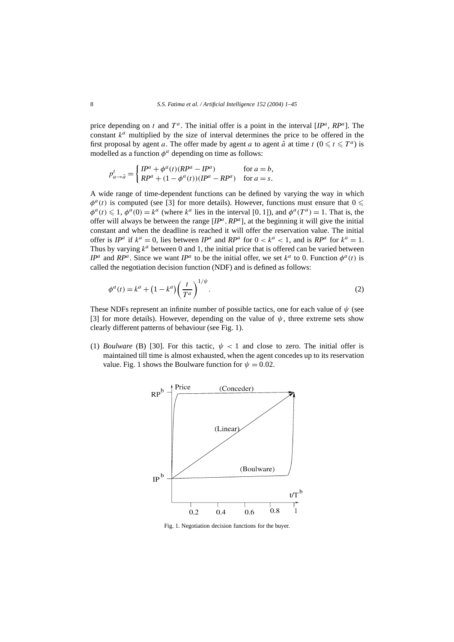price depending on *t* and  $T^a$ . The initial offer is a point in the interval  $[IP^a, RP^a]$ . The constant  $k^a$  multiplied by the size of interval determines the price to be offered in the first proposal by agent *a*. The offer made by agent *a* to agent  $\hat{a}$  at time *t*  $(0 \le t \le T^a)$  is modelled as a function  $\phi^a$  depending on time as follows:

$$
p_{a \to \hat{a}}^t = \begin{cases} IP^a + \phi^a(t)(RP^a - IP^a) & \text{for } a = b, \\ RP^a + (1 - \phi^a(t))(IP^a - RP^a) & \text{for } a = s. \end{cases}
$$

A wide range of time-dependent functions can be defined by varying the way in which  $\phi^a(t)$  is computed (see [3] for more details). However, functions must ensure that  $0 \leq$  $\phi^a(t) \leq 1$ ,  $\phi^a(0) = k^a$  (where  $k^a$  lies in the interval [0, 1]), and  $\phi^a(T^a) = 1$ . That is, the offer will always be between the range  $[IP^a, RP^a]$ , at the beginning it will give the initial constant and when the deadline is reached it will offer the reservation value. The initial offer is  $IP^a$  if  $k^a = 0$ , lies between  $IP^a$  and  $RP^a$  for  $0 < k^a < 1$ , and is  $RP^a$  for  $k^a = 1$ . Thus by varying  $k^a$  between 0 and 1, the initial price that is offered can be varied between *IP<sup><i>a*</sup> and *RP<sup><i>a*</sup>. Since we want *IP<sup><i>a*</sup> to be the initial offer, we set  $k^a$  to 0. Function  $\phi^a(t)$  is called the negotiation decision function (NDF) and is defined as follows:

$$
\phi^{a}(t) = k^{a} + (1 - k^{a}) \left(\frac{t}{T^{a}}\right)^{1/\psi}.
$$
\n(2)

These NDFs represent an infinite number of possible tactics, one for each value of  $\psi$  (see [3] for more details). However, depending on the value of  $\psi$ , three extreme sets show clearly different patterns of behaviour (see Fig. 1).

(1) *Boulware* (B) [30]. For this tactic,  $\psi$  < 1 and close to zero. The initial offer is maintained till time is almost exhausted, when the agent concedes up to its reservation value. Fig. 1 shows the Boulware function for  $\psi = 0.02$ .



Fig. 1. Negotiation decision functions for the buyer.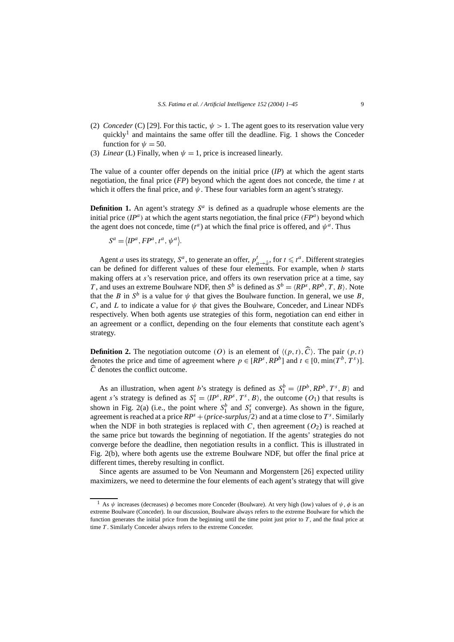- (2) *Conceder* (C) [29]. For this tactic,  $\psi > 1$ . The agent goes to its reservation value very quickly<sup>1</sup> and maintains the same offer till the deadline. Fig. 1 shows the Conceder function for  $\psi = 50$ .
- (3) *Linear* (L) Finally, when  $\psi = 1$ , price is increased linearly.

The value of a counter offer depends on the initial price (*IP*) at which the agent starts negotiation, the final price (*FP*) beyond which the agent does not concede, the time *t* at which it offers the final price, and  $\psi$ . These four variables form an agent's strategy.

**Definition 1.** An agent's strategy  $S^a$  is defined as a quadruple whose elements are the initial price  $(IP^a)$  at which the agent starts negotiation, the final price  $(FP^a)$  beyond which the agent does not concede, time  $(t^a)$  at which the final price is offered, and  $\psi^a$ . Thus

$$
S^a = \langle IP^a, FP^a, t^a, \psi^a \rangle.
$$

Agent *a* uses its strategy,  $S^a$ , to generate an offer,  $p^t_{a \to \hat{a}}$ , for  $t \leq t^a$ . Different strategies can be defined for different values of these four elements. For example, when *b* starts making offers at *s*'s reservation price, and offers its own reservation price at a time, say *T*, and uses an extreme Boulware NDF, then *S<sup>b</sup>* is defined as  $S^b = \langle RP^s, RP^b, T, B \rangle$ . Note that the *B* in  $S^b$  is a value for  $\psi$  that gives the Boulware function. In general, we use *B*, *C*, and *L* to indicate a value for *ψ* that gives the Boulware, Conceder, and Linear NDFs respectively. When both agents use strategies of this form, negotiation can end either in an agreement or a conflict, depending on the four elements that constitute each agent's strategy.

**Definition 2.** The negotiation outcome *(O)* is an element of  $\{ (p, t), \tilde{C} \}$ . The pair  $(p, t)$ denotes the price and time of agreement where  $p \in [RP^s, RP^b]$  and  $t \in [0, min(T^b, T^s)]$ . *C* denotes the conflict outcome.

As an illustration, when agent *b*'s strategy is defined as  $S_1^b = \langle IP^b, RP^b, T^s, B \rangle$  and agent *s*'s strategy is defined as  $S_1^s = \langle IP^s, RP^s, T^s, B \rangle$ , the outcome  $(O_1)$  that results is shown in Fig. 2(a) (i.e., the point where  $S_1^b$  and  $S_1^s$  converge). As shown in the figure, agreement is reached at a price  $RP^s + (price \cdot surplus/2)$  and at a time close to  $T^s$ . Similarly when the NDF in both strategies is replaced with  $C$ , then agreement  $(O_2)$  is reached at the same price but towards the beginning of negotiation. If the agents' strategies do not converge before the deadline, then negotiation results in a conflict. This is illustrated in Fig. 2(b), where both agents use the extreme Boulware NDF, but offer the final price at different times, thereby resulting in conflict.

Since agents are assumed to be Von Neumann and Morgenstern [26] expected utility maximizers, we need to determine the four elements of each agent's strategy that will give

<sup>1</sup> As *ψ* increases (decreases) *φ* becomes more Conceder (Boulware). At very high (low) values of *ψ*, *φ* is an extreme Boulware (Conceder). In our discussion, Boulware always refers to the extreme Boulware for which the function generates the initial price from the beginning until the time point just prior to *T* , and the final price at time *T* . Similarly Conceder always refers to the extreme Conceder.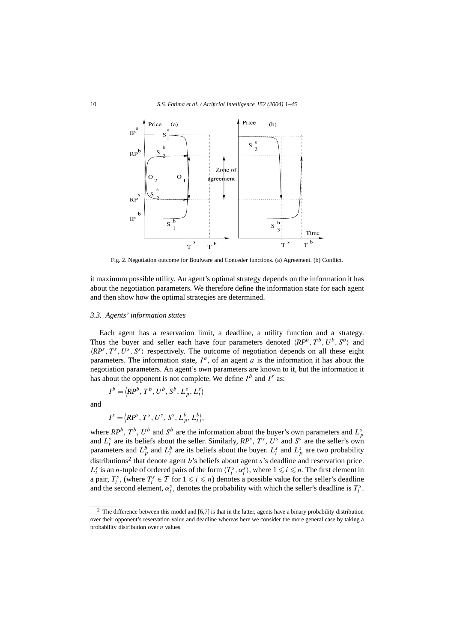

Fig. 2. Negotiation outcome for Boulware and Conceder functions. (a) Agreement. (b) Conflict.

it maximum possible utility. An agent's optimal strategy depends on the information it has about the negotiation parameters. We therefore define the information state for each agent and then show how the optimal strategies are determined.

# *3.3. Agents' information states*

Each agent has a reservation limit, a deadline, a utility function and a strategy. Thus the buyer and seller each have four parameters denoted  $\langle RP^b, T^b, U^b, S^b \rangle$  and  $\langle RP^s, T^s, U^s, S^s \rangle$  respectively. The outcome of negotiation depends on all these eight parameters. The information state,  $I^a$ , of an agent *a* is the information it has about the negotiation parameters. An agent's own parameters are known to it, but the information it has about the opponent is not complete. We define  $I^b$  and  $I^s$  as:

$$
I^b = \langle RP^b, T^b, U^b, S^b, L_p^s, L_i^s \rangle
$$

and

$$
Is = \langle RPs, Ts, Us, Ss, Lbp, Lbt \rangle,
$$

where  $RP^b$ ,  $T^b$ ,  $U^b$  and  $S^b$  are the information about the buyer's own parameters and  $L_p^s$ and  $L_t^s$  are its beliefs about the seller. Similarly,  $RP^s$ ,  $T^s$ ,  $U^s$  and  $S^s$  are the seller's own parameters and  $L_p^b$  and  $L_t^b$  are its beliefs about the buyer.  $L_t^s$  and  $L_p^s$  are two probability distributions<sup>2</sup> that denote agent *b*'s beliefs about agent *s*'s deadline and reservation price.  $L_i^s$  is an *n*-tuple of ordered pairs of the form  $\langle T_i^s, \alpha_i^s \rangle$ , where  $1 \leq i \leq n$ . The first element in a pair,  $T_i^s$ , (where  $T_i^s \in T$  for  $1 \leq i \leq n$ ) denotes a possible value for the seller's deadline and the second element,  $\alpha_i^s$ , denotes the probability with which the seller's deadline is  $T_i^s$ .

<sup>&</sup>lt;sup>2</sup> The difference between this model and [6,7] is that in the latter, agents have a binary probability distribution over their opponent's reservation value and deadline whereas here we consider the more general case by taking a probability distribution over *n* values.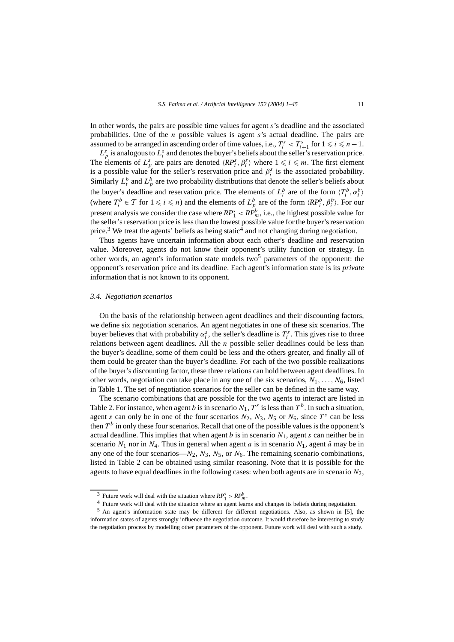In other words, the pairs are possible time values for agent *s*'s deadline and the associated probabilities. One of the *n* possible values is agent *s*'s actual deadline. The pairs are assumed to be arranged in ascending order of time values, i.e.,  $T_i^s < T_{i+1}^s$  for  $1 \leq i \leq n-1$ .

 $L_p^s$  is analogous to  $L_t^s$  and denotes the buyer's beliefs about the seller's reservation price. The elements of  $L_p^s$  are pairs are denoted  $\langle RP_i^s, \beta_i^s \rangle$  where  $1 \leq i \leq m$ . The first element is a possible value for the seller's reservation price and  $\beta_i^s$  is the associated probability. Similarly  $L_t^b$  and  $L_p^b$  are two probability distributions that denote the seller's beliefs about the buyer's deadline and reservation price. The elements of  $L_t^b$  are of the form  $\langle T_i^b, \alpha_i^b \rangle$ (where  $T_i^b \in \mathcal{T}$  for  $1 \leq i \leq n$ ) and the elements of  $L_p^b$  are of the form  $\langle RP_i^b, \beta_i^b \rangle$ . For our present analysis we consider the case where  $RP_1^s < RP_m^b$ , i.e., the highest possible value for the seller's reservation price is less than the lowest possible value for the buyer's reservation price.<sup>3</sup> We treat the agents' beliefs as being static<sup>4</sup> and not changing during negotiation.

Thus agents have uncertain information about each other's deadline and reservation value. Moreover, agents do not know their opponent's utility function or strategy. In other words, an agent's information state models two<sup>5</sup> parameters of the opponent: the opponent's reservation price and its deadline. Each agent's information state is its *private* information that is not known to its opponent.

# *3.4. Negotiation scenarios*

On the basis of the relationship between agent deadlines and their discounting factors, we define six negotiation scenarios. An agent negotiates in one of these six scenarios. The buyer believes that with probability  $\alpha_i^s$ , the seller's deadline is  $T_i^s$ . This gives rise to three relations between agent deadlines. All the *n* possible seller deadlines could be less than the buyer's deadline, some of them could be less and the others greater, and finally all of them could be greater than the buyer's deadline. For each of the two possible realizations of the buyer's discounting factor, these three relations can hold between agent deadlines. In other words, negotiation can take place in any one of the six scenarios,  $N_1, \ldots, N_6$ , listed in Table 1. The set of negotiation scenarios for the seller can be defined in the same way.

The scenario combinations that are possible for the two agents to interact are listed in Table 2. For instance, when agent *b* is in scenario  $N_1$ ,  $T^s$  is less than  $T^b$ . In such a situation, agent *s* can only be in one of the four scenarios  $N_2$ ,  $N_3$ ,  $N_5$  or  $N_6$ , since  $T^s$  can be less then  $T<sup>b</sup>$  in only these four scenarios. Recall that one of the possible values is the opponent's actual deadline. This implies that when agent  $b$  is in scenario  $N_1$ , agent  $s$  can neither be in scenario  $N_1$  nor in  $N_4$ . Thus in general when agent *a* is in scenario  $N_1$ , agent  $\hat{a}$  may be in any one of the four scenarios— $N_2$ ,  $N_3$ ,  $N_5$ , or  $N_6$ . The remaining scenario combinations, listed in Table 2 can be obtained using similar reasoning. Note that it is possible for the agents to have equal deadlines in the following cases: when both agents are in scenario *N*2,

<sup>&</sup>lt;sup>3</sup> Future work will deal with the situation where  $RP_1^s > RP_n^b$ 

<sup>&</sup>lt;sup>4</sup> Future work will deal with the situation where an agent learns and changes its beliefs during negotiation.

<sup>5</sup> An agent's information state may be different for different negotiations. Also, as shown in [5], the information states of agents strongly influence the negotiation outcome. It would therefore be interesting to study the negotiation process by modelling other parameters of the opponent. Future work will deal with such a study.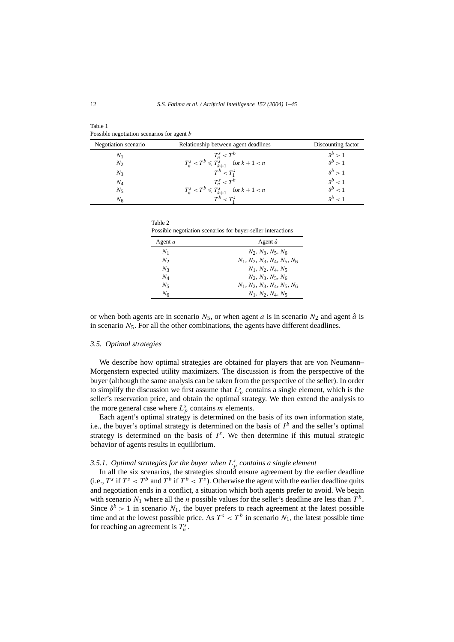| Negotiation scenario | Relationship between agent deadlines                   | Discounting factor |
|----------------------|--------------------------------------------------------|--------------------|
| $N_1$                | $T_n^s < T_b$                                          | $\delta^b > 1$     |
| $N_2$                | $T_k^s < T^b \leq T_{k+1}^s \quad \text{for } k+1 < n$ | $\delta^b > 1$     |
| $N_3$                | $T^b < T_1^s$                                          | $\delta^b > 1$     |
| $N_4$                | $T_n^s < T_b$                                          | $\delta^b < 1$     |
| $N_5$                | $T_k^s < T^b \leq T_{k+1}^s \quad \text{for } k+1 < n$ | $\delta^b < 1$     |
| $N_6$                | $T^b < T^s$                                            | $\delta^b$ < 1     |

Table 1 Possible negotiation scenarios for agent *b*

| Table 2                                                      |
|--------------------------------------------------------------|
| Possible negotiation scenarios for buyer-seller interactions |

| Agent a        | Agent <i>a</i>                 |
|----------------|--------------------------------|
| N <sub>1</sub> | $N_2, N_3, N_5, N_6$           |
| N2             | $N_1, N_2, N_3, N_4, N_5, N_6$ |
| $N_3$          | $N_1, N_2, N_4, N_5$           |
| NΔ             | $N_2$ , $N_3$ , $N_5$ , $N_6$  |
| N5             | $N_1, N_2, N_3, N_4, N_5, N_6$ |
| N6             | $N_1, N_2, N_4, N_5$           |
|                |                                |

or when both agents are in scenario  $N_5$ , or when agent *a* is in scenario  $N_2$  and agent  $\hat{a}$  is in scenario  $N_5$ . For all the other combinations, the agents have different deadlines.

# *3.5. Optimal strategies*

We describe how optimal strategies are obtained for players that are von Neumann– Morgenstern expected utility maximizers. The discussion is from the perspective of the buyer (although the same analysis can be taken from the perspective of the seller). In order to simplify the discussion we first assume that  $L_p^s$  contains a single element, which is the seller's reservation price, and obtain the optimal strategy. We then extend the analysis to the more general case where  $L_p^s$  contains *m* elements.

Each agent's optimal strategy is determined on the basis of its own information state, i.e., the buyer's optimal strategy is determined on the basis of  $I^b$  and the seller's optimal strategy is determined on the basis of  $I<sup>s</sup>$ . We then determine if this mutual strategic behavior of agents results in equilibrium.

# *3.5.1. Optimal strategies for the buyer when Ls <sup>p</sup> contains a single element*

In all the six scenarios, the strategies should ensure agreement by the earlier deadline (i.e.,  $T^s$  if  $T^s < T^b$  and  $T^b$  if  $T^b < T^s$ ). Otherwise the agent with the earlier deadline quits and negotiation ends in a conflict, a situation which both agents prefer to avoid. We begin with scenario  $N_1$  where all the *n* possible values for the seller's deadline are less than  $T^b$ . Since  $\delta^b > 1$  in scenario  $N_1$ , the buyer prefers to reach agreement at the latest possible time and at the lowest possible price. As  $T^s < T^b$  in scenario  $N_1$ , the latest possible time for reaching an agreement is  $T_n^s$ .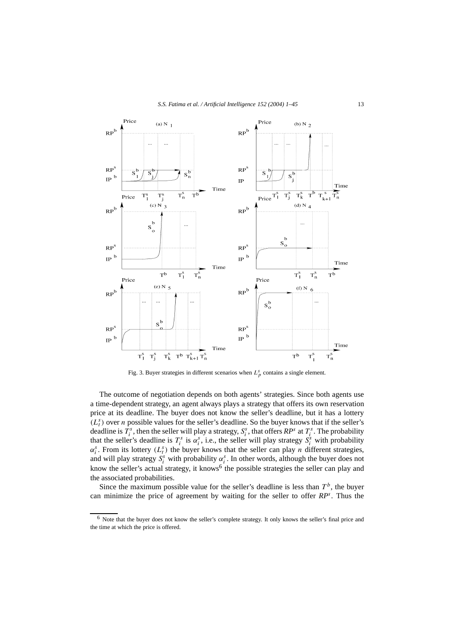

Fig. 3. Buyer strategies in different scenarios when  $L_p^s$  contains a single element.

The outcome of negotiation depends on both agents' strategies. Since both agents use a time-dependent strategy, an agent always plays a strategy that offers its own reservation price at its deadline. The buyer does not know the seller's deadline, but it has a lottery  $(L_t^s)$  over *n* possible values for the seller's deadline. So the buyer knows that if the seller's deadline is  $T_i^s$ , then the seller will play a strategy,  $S_i^s$ , that offers  $RP^s$  at  $T_i^s$ . The probability that the seller's deadline is  $T_i^s$  is  $\alpha_i^s$ , i.e., the seller will play strategy  $S_i^s$  with probability  $\alpha_i^s$ . From its lottery  $(L_i^s)$  the buyer knows that the seller can play *n* different strategies, and will play strategy  $S_i^s$  with probability  $\alpha_i^s$ . In other words, although the buyer does not know the seller's actual strategy, it knows<sup>6</sup> the possible strategies the seller can play and the associated probabilities.

Since the maximum possible value for the seller's deadline is less than  $T<sup>b</sup>$ , the buyer can minimize the price of agreement by waiting for the seller to offer *RPs*. Thus the

<sup>6</sup> Note that the buyer does not know the seller's complete strategy. It only knows the seller's final price and the time at which the price is offered.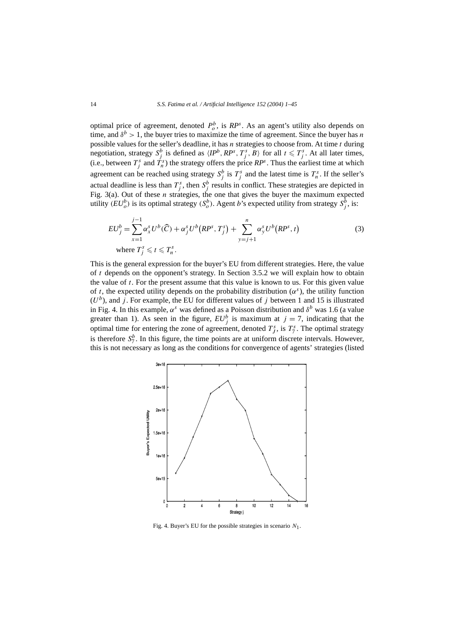optimal price of agreement, denoted  $P_o^b$ , is  $RP^s$ . As an agent's utility also depends on time, and  $\delta^b > 1$ , the buyer tries to maximize the time of agreement. Since the buyer has *n* possible values for the seller's deadline, it has *n* strategies to choose from. At time *t* during negotiation, strategy  $S_j^b$  is defined as  $\langle IP^b, RP^s, T_j^s, B \rangle$  for all  $t \leq T_j^s$ . At all later times, (i.e., between  $T_j^s$  and  $\hat{T_n^s}$ ) the strategy offers the price  $RP^s$ . Thus the earliest time at which agreement can be reached using strategy  $S_j^b$  is  $T_j^s$  and the latest time is  $T_n^s$ . If the seller's actual deadline is less than  $T_j^s$ , then  $S_j^b$  results in conflict. These strategies are depicted in Fig. 3(a). Out of these *n* strategies, the one that gives the buyer the maximum expected utility  $(EU_o^b)$  is its optimal strategy  $(S_o^b)$ . Agent *b*'s expected utility from strategy  $S_j^b$ , is:

$$
EU_j^b = \sum_{x=1}^{j-1} \alpha_x^s U^b(\widehat{C}) + \alpha_j^s U^b \left( RP^s, T_j^s \right) + \sum_{y=j+1}^n \alpha_y^s U^b \left( RP^s, t \right)
$$
  
where  $T_j^s \leq t \leq T_n^s$ . (3)

This is the general expression for the buyer's EU from different strategies. Here, the value of *t* depends on the opponent's strategy. In Section 3.5.2 we will explain how to obtain the value of *t*. For the present assume that this value is known to us. For this given value of *t*, the expected utility depends on the probability distribution  $(\alpha^s)$ , the utility function  $(U^b)$ , and *j*. For example, the EU for different values of *j* between 1 and 15 is illustrated in Fig. 4. In this example,  $\alpha^s$  was defined as a Poisson distribution and  $\delta^b$  was 1.6 (a value greater than 1). As seen in the figure,  $EU_j^b$  is maximum at  $j = 7$ , indicating that the optimal time for entering the zone of agreement, denoted  $T_j^s$ , is  $T_j^s$ . The optimal strategy is therefore  $S_7^b$ . In this figure, the time points are at uniform discrete intervals. However, this is not necessary as long as the conditions for convergence of agents' strategies (listed



Fig. 4. Buyer's EU for the possible strategies in scenario *N*1.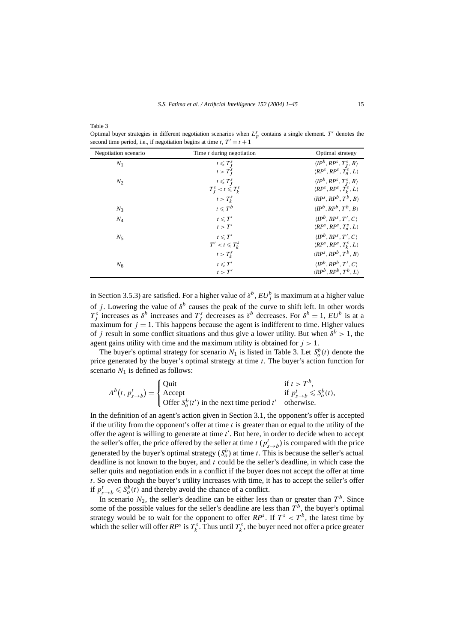| Negotiation scenario | Time <i>t</i> during negotiation | Optimal strategy                       |
|----------------------|----------------------------------|----------------------------------------|
| $N_1$                | $t\leqslant T_I^s$               | $\langle IP^b, RP^s, T_I^s, B \rangle$ |
|                      | $t > T_I^s$                      | $\langle RP^s, RP^s, T_n^s, L \rangle$ |
| $N_2$                | $t\leqslant T_I^s$               | $\langle IP^b, RP^s, T_I^s, B \rangle$ |
|                      | $T_I^s < t \leqslant T_k^s$      | $\langle RP^s, RP^s, T_k^s, L \rangle$ |
|                      | $t > T_k^s$                      | $\langle RP^s, RP^b, T^b, B \rangle$   |
| $N_3$                | $t\leqslant T^b$                 | $\langle IP^b, RP^b, T^b, B \rangle$   |
| $N_4$                | $t \leq T'$                      | $\langle IP^b, RP^s, T', C \rangle$    |
|                      | t > T'                           | $\langle RP^s, RP^s, T_n^s, L \rangle$ |
| $N_5$                | $t \leq T'$                      | $\langle IP^b, RP^s, T', C \rangle$    |
|                      | $T' < t \leqslant T_k^s$         | $\langle RP^s, RP^s, T_k^s, L \rangle$ |
|                      | $t > T_k^s$                      | $\langle RP^s, RP^b, T^b, B \rangle$   |
| $N_6$                | $t\leqslant T'$                  | $\langle IP^b, RP^b, T', C \rangle$    |
|                      | t > T'                           | $\langle RP^b, RP^b, T^b, L \rangle$   |

Optimal buyer strategies in different negotiation scenarios when  $L_p^s$  contains a single element.  $T'$  denotes the second time period, i.e., if negotiation begins at time *t*,  $T' = t + 1$ 

Table 3

in Section 3.5.3) are satisfied. For a higher value of  $\delta^b$ ,  $EU_j^b$  is maximum at a higher value of *j*. Lowering the value of  $\delta^b$  causes the peak of the curve to shift left. In other words *T*<sup>*s*</sup> increases as  $\delta^b$  increases and *T*<sup>*s*</sup> decreases as  $\delta^b$  decreases. For  $\delta^b = 1$ ,  $EU^b$  is at a maximum for  $j = 1$ . This happens because the agent is indifferent to time. Higher values of *j* result in some conflict situations and thus give a lower utility. But when  $\delta^b > 1$ , the agent gains utility with time and the maximum utility is obtained for  $j > 1$ .

The buyer's optimal strategy for scenario  $N_1$  is listed in Table 3. Let  $S_o^b(t)$  denote the price generated by the buyer's optimal strategy at time *t*. The buyer's action function for scenario  $N_1$  is defined as follows:

$$
A^{b}(t, p_{s \to b}^{t}) = \begin{cases} \text{Quit} & \text{if } t > T^{b}, \\ \text{Accept} & \text{if } p_{s \to b}^{t} \leq S_{o}^{b}(t), \\ \text{Offer } S_{o}^{b}(t') \text{ in the next time period } t' & \text{otherwise.} \end{cases}
$$

In the definition of an agent's action given in Section 3.1, the opponent's offer is accepted if the utility from the opponent's offer at time  $t$  is greater than or equal to the utility of the offer the agent is willing to generate at time *t* . But here, in order to decide when to accept the seller's offer, the price offered by the seller at time *t* ( $p^t_{s\to b}$ ) is compared with the price generated by the buyer's optimal strategy  $(S_o^b)$  at time *t*. This is because the seller's actual deadline is not known to the buyer, and *t* could be the seller's deadline, in which case the seller quits and negotiation ends in a conflict if the buyer does not accept the offer at time *t*. So even though the buyer's utility increases with time, it has to accept the seller's offer if  $p_{s\rightarrow b}^t \leq S_o^b(t)$  and thereby avoid the chance of a conflict.

In scenario  $N_2$ , the seller's deadline can be either less than or greater than  $T^b$ . Since some of the possible values for the seller's deadline are less than  $T^b$ , the buyer's optimal strategy would be to wait for the opponent to offer  $RP^s$ . If  $T^s < T^b$ , the latest time by which the seller will offer  $RP^s$  is  $T^s_k$ . Thus until  $T^s_k$ , the buyer need not offer a price greater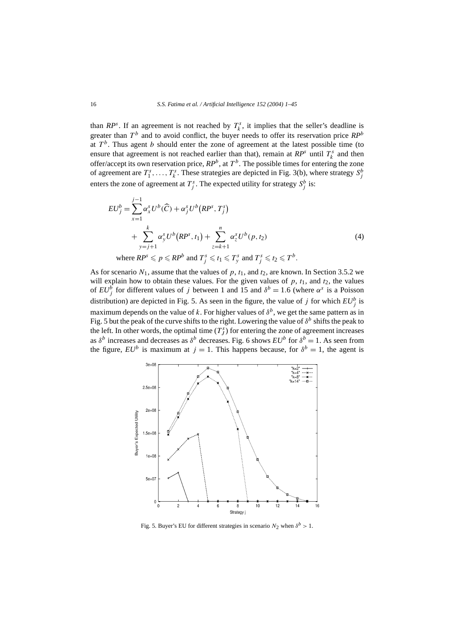than  $RP^s$ . If an agreement is not reached by  $T_k^s$ , it implies that the seller's deadline is greater than  $T^b$  and to avoid conflict, the buyer needs to offer its reservation price  $RP^b$ at  $T^b$ . Thus agent *b* should enter the zone of agreement at the latest possible time (to ensure that agreement is not reached earlier than that), remain at  $RP^s$  until  $T^s_k$  and then offer/accept its own reservation price,  $RP^b$ , at  $T^b$ . The possible times for entering the zone of agreement are  $T_1^s, \ldots, T_k^s$ . These strategies are depicted in Fig. 3(b), where strategy  $S_j^b$ enters the zone of agreement at  $T_j^s$ . The expected utility for strategy  $S_j^b$  is:

$$
EU_j^b = \sum_{x=1}^{j-1} \alpha_x^s U^b(\widehat{C}) + \alpha_j^s U^b (RP^s, T_j^s)
$$
  
+ 
$$
\sum_{y=j+1}^k \alpha_y^s U^b (RP^s, t_1) + \sum_{z=k+1}^n \alpha_z^s U^b(p, t_2)
$$
  
where  $RP^s \leq p \leq RP^b$  and  $T_j^s \leq t_1 \leq T_j^s$  and  $T_j^s \leq t_2 \leq T^b$ . (4)

As for scenario  $N_1$ , assume that the values of  $p$ ,  $t_1$ , and  $t_2$ , are known. In Section 3.5.2 we will explain how to obtain these values. For the given values of  $p$ ,  $t_1$ , and  $t_2$ , the values of  $EU_j^b$  for different values of *j* between 1 and 15 and  $\delta^b = 1.6$  (where  $\alpha^s$  is a Poisson distribution) are depicted in Fig. 5. As seen in the figure, the value of *j* for which  $EU_j^b$  is maximum depends on the value of *k*. For higher values of  $\delta^b$ , we get the same pattern as in Fig. 5 but the peak of the curve shifts to the right. Lowering the value of  $\delta^b$  shifts the peak to the left. In other words, the optimal time  $(T_j^s)$  for entering the zone of agreement increases as  $\delta^b$  increases and decreases as  $\delta^b$  decreases. Fig. 6 shows  $EU^b$  for  $\delta^b = 1$ . As seen from

the figure,  $EU^b$  is maximum at  $j = 1$ . This happens because, for  $\delta^b = 1$ , the agent is



Fig. 5. Buyer's EU for different strategies in scenario  $N_2$  when  $\delta^b > 1$ .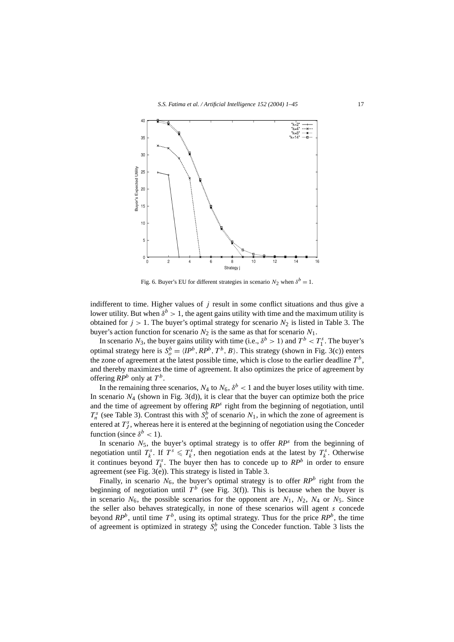

Fig. 6. Buyer's EU for different strategies in scenario  $N_2$  when  $\delta^b = 1$ .

indifferent to time. Higher values of *j* result in some conflict situations and thus give a lower utility. But when  $\delta^b > 1$ , the agent gains utility with time and the maximum utility is obtained for  $j > 1$ . The buyer's optimal strategy for scenario  $N_2$  is listed in Table 3. The buyer's action function for scenario  $N_2$  is the same as that for scenario  $N_1$ .

In scenario *N*<sub>3</sub>, the buyer gains utility with time (i.e.,  $\delta^b > 1$ ) and  $T^b < T_1^s$ . The buyer's optimal strategy here is  $S^b_o = \langle IP^b, RP^b, T^b, B \rangle$ . This strategy (shown in Fig. 3(c)) enters the zone of agreement at the latest possible time, which is close to the earlier deadline  $T^b$ , and thereby maximizes the time of agreement. It also optimizes the price of agreement by offering  $RP^b$  only at  $T^b$ .

In the remaining three scenarios,  $N_4$  to  $N_6$ ,  $\delta^b$  < 1 and the buyer loses utility with time. In scenario  $N_4$  (shown in Fig. 3(d)), it is clear that the buyer can optimize both the price and the time of agreement by offering *RP<sup>s</sup>* right from the beginning of negotiation, until  $T_n^s$  (see Table 3). Contrast this with  $S_p^b$  of scenario  $N_1$ , in which the zone of agreement is entered at  $T_j^s$ , whereas here it is entered at the beginning of negotiation using the Conceder function (since  $\delta^b < 1$ ).

In scenario  $N_5$ , the buyer's optimal strategy is to offer  $RP<sup>s</sup>$  from the beginning of negotiation until  $T_k^s$ . If  $T_s \leq T_k^s$ , then negotiation ends at the latest by  $T_k^s$ . Otherwise it continues beyond  $T_k^s$ . The buyer then has to concede up to  $RP^b$  in order to ensure agreement (see Fig. 3(e)). This strategy is listed in Table 3.

Finally, in scenario  $N_6$ , the buyer's optimal strategy is to offer  $RP^b$  right from the beginning of negotiation until  $T^b$  (see Fig. 3(f)). This is because when the buyer is in scenario  $N_6$ , the possible scenarios for the opponent are  $N_1$ ,  $N_2$ ,  $N_4$  or  $N_5$ . Since the seller also behaves strategically, in none of these scenarios will agent *s* concede beyond  $RP^b$ , until time  $T^b$ , using its optimal strategy. Thus for the price  $RP^b$ , the time of agreement is optimized in strategy  $S^b$  using the Conceder function. Table 3 lists the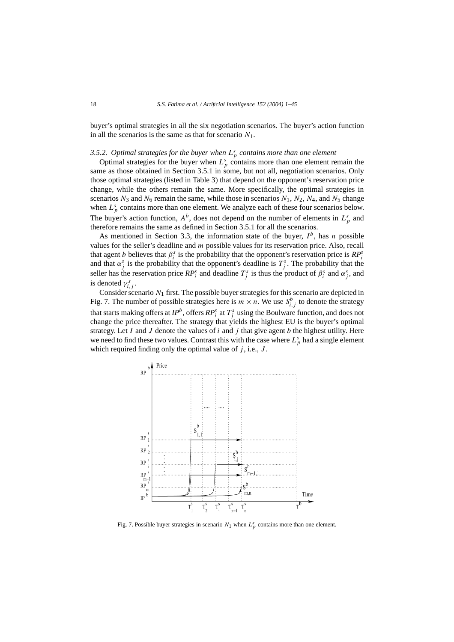buyer's optimal strategies in all the six negotiation scenarios. The buyer's action function in all the scenarios is the same as that for scenario *N*1.

# *3.5.2. Optimal strategies for the buyer when Ls <sup>p</sup> contains more than one element*

Optimal strategies for the buyer when  $L_p^s$  contains more than one element remain the same as those obtained in Section 3.5.1 in some, but not all, negotiation scenarios. Only those optimal strategies (listed in Table 3) that depend on the opponent's reservation price change, while the others remain the same. More specifically, the optimal strategies in scenarios  $N_3$  and  $N_6$  remain the same, while those in scenarios  $N_1$ ,  $N_2$ ,  $N_4$ , and  $N_5$  change when  $L_p^s$  contains more than one element. We analyze each of these four scenarios below. The buyer's action function,  $A^b$ , does not depend on the number of elements in  $L_p^s$  and therefore remains the same as defined in Section 3.5.1 for all the scenarios.

As mentioned in Section 3.3, the information state of the buyer,  $I^b$ , has *n* possible values for the seller's deadline and *m* possible values for its reservation price. Also, recall that agent *b* believes that  $\beta_i^s$  is the probability that the opponent's reservation price is  $RP_i^s$ and that  $\alpha_j^s$  is the probability that the opponent's deadline is  $T_j^s$ . The probability that the seller has the reservation price  $RP_i^s$  and deadline  $T_j^s$  is thus the product of  $\beta_i^s$  and  $\alpha_j^s$ , and is denoted  $\gamma_{i,j}^s$ .

Consider scenario  $N_1$  first. The possible buyer strategies for this scenario are depicted in Fig. 7. The number of possible strategies here is  $m \times n$ . We use  $S^b_{i,j}$  to denote the strategy that starts making offers at  $IP^b$ , offers  $RP^s_i$  at  $T^s_j$  using the Boulware function, and does not change the price thereafter. The strategy that yields the highest EU is the buyer's optimal strategy. Let *I* and *J* denote the values of *i* and *j* that give agent *b* the highest utility. Here we need to find these two values. Contrast this with the case where  $L_p^s$  had a single element which required finding only the optimal value of *j*, i.e., *J*.



Fig. 7. Possible buyer strategies in scenario  $N_1$  when  $L_p^s$  contains more than one element.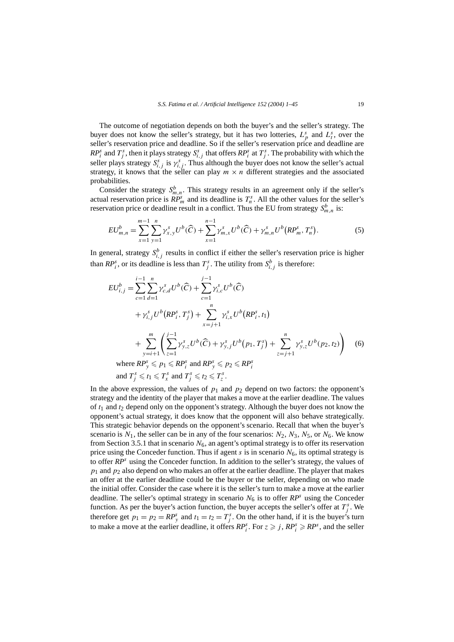The outcome of negotiation depends on both the buyer's and the seller's strategy. The buyer does not know the seller's strategy, but it has two lotteries,  $L_p^s$  and  $L_i^s$ , over the seller's reservation price and deadline. So if the seller's reservation price and deadline are  $RP_i^s$  and  $T_j^s$ , then it plays strategy  $S_{i,j}^s$  that offers  $RP_i^s$  at  $T_j^s$ . The probability with which the seller plays strategy  $S^s_{i,j}$  is  $\gamma^s_{i,j}$ . Thus although the buyer does not know the seller's actual strategy, it knows that the seller can play  $m \times n$  different strategies and the associated probabilities.

Consider the strategy  $S_{m,n}^b$ . This strategy results in an agreement only if the seller's actual reservation price is  $RP_m^s$  and its deadline is  $T_n^s$ . All the other values for the seller's reservation price or deadline result in a conflict. Thus the EU from strategy  $S_{m,n}^b$  is:

$$
EU_{m,n}^b = \sum_{x=1}^{m-1} \sum_{y=1}^n \gamma_{x,y}^s U^b(\widehat{C}) + \sum_{x=1}^{n-1} \gamma_{m,x}^s U^b(\widehat{C}) + \gamma_{m,n}^s U^b \big( RP_m^s, T_n^s \big). \tag{5}
$$

In general, strategy  $S_{i,j}^b$  results in conflict if either the seller's reservation price is higher than  $RP_i^s$ , or its deadline is less than  $T_j^s$ . The utility from  $S_{i,j}^b$  is therefore:

$$
EU_{i,j}^b = \sum_{c=1}^{i-1} \sum_{d=1}^n \gamma_{c,d}^s U^b(\widehat{C}) + \sum_{c=1}^{j-1} \gamma_{i,c}^s U^b(\widehat{C})
$$
  
+  $\gamma_{i,j}^s U^b (RP_i^s, T_j^s) + \sum_{x=j+1}^n \gamma_{i,x}^s U^b (RP_i^s, t_1)$   
+  $\sum_{y=i+1}^m \left( \sum_{z=1}^{j-1} \gamma_{y,z}^s U^b(\widehat{C}) + \gamma_{y,j}^s U^b(p_1, T_j^s) + \sum_{z=j+1}^n \gamma_{y,z}^s U^b(p_2, t_2) \right)$  (6)  
where  $RP_j^s \le p_1 \le RP_i^s$  and  $RP_j^s \le p_2 \le RP_i^s$ 

and  $T_j^s \leq t_1 \leq T_x^s$  and  $T_j^s \leq t_2 \leq T_z^s$ .

In the above expression, the values of  $p_1$  and  $p_2$  depend on two factors: the opponent's strategy and the identity of the player that makes a move at the earlier deadline. The values of *t*<sup>1</sup> and *t*<sup>2</sup> depend only on the opponent's strategy. Although the buyer does not know the opponent's actual strategy, it does know that the opponent will also behave strategically. This strategic behavior depends on the opponent's scenario. Recall that when the buyer's scenario is  $N_1$ , the seller can be in any of the four scenarios:  $N_2$ ,  $N_3$ ,  $N_5$ , or  $N_6$ . We know from Section 3.5.1 that in scenario  $N_6$ , an agent's optimal strategy is to offer its reservation price using the Conceder function. Thus if agent *s* is in scenario *N*6, its optimal strategy is to offer *RP<sup>s</sup>* using the Conceder function. In addition to the seller's strategy, the values of  $p_1$  and  $p_2$  also depend on who makes an offer at the earlier deadline. The player that makes an offer at the earlier deadline could be the buyer or the seller, depending on who made the initial offer. Consider the case where it is the seller's turn to make a move at the earlier deadline. The seller's optimal strategy in scenario  $N_6$  is to offer  $RP^s$  using the Conceder function. As per the buyer's action function, the buyer accepts the seller's offer at  $T_j^s$ . We therefore get  $p_1 = p_2 = R P_y^s$  and  $t_1 = t_2 = T_j^s$ . On the other hand, if it is the buyer's turn to make a move at the earlier deadline, it offers  $RP_i^s$ . For  $z \geq j$ ,  $RP_i^s \geq RP_s^s$ , and the seller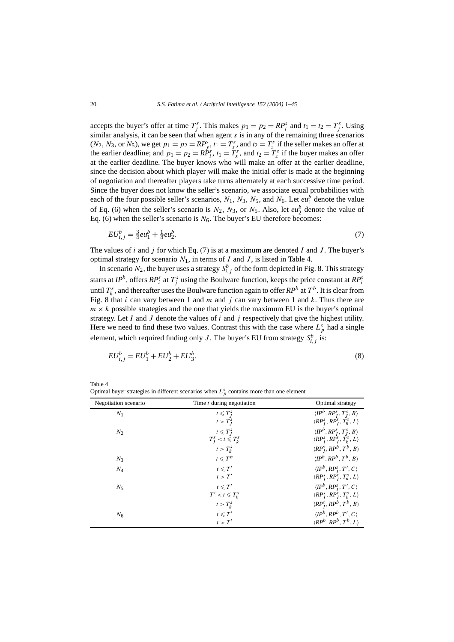accepts the buyer's offer at time  $T_j^s$ . This makes  $p_1 = p_2 = RP_i^s$  and  $t_1 = t_2 = T_j^s$ . Using similar analysis, it can be seen that when agent *s* is in any of the remaining three scenarios  $(N_2, N_3, \text{ or } N_5)$ , we get  $p_1 = p_2 = R P_y^s$ ,  $t_1 = T_x^s$ , and  $t_2 = T_z^s$  if the seller makes an offer at the earlier deadline; and  $p_1 = p_2 = R\dot{P}_i^s$ ,  $t_1 = T_x^s$ , and  $t_2 = T_z^s$  if the buyer makes an offer at the earlier deadline. The buyer knows who will make an offer at the earlier deadline, since the decision about which player will make the initial offer is made at the beginning of negotiation and thereafter players take turns alternately at each successive time period. Since the buyer does not know the seller's scenario, we associate equal probabilities with each of the four possible seller's scenarios,  $N_1$ ,  $N_3$ ,  $N_5$ , and  $N_6$ . Let  $eu_1^b$  denote the value of Eq. (6) when the seller's scenario is  $N_2$ ,  $N_3$ , or  $N_5$ . Also, let  $e u_2^b$  denote the value of Eq. (6) when the seller's scenario is  $N_6$ . The buyer's EU therefore becomes:

$$
EU_{i,j}^b = \frac{3}{4}eu_1^b + \frac{1}{4}eu_2^b.
$$
\n(7)

The values of *i* and *j* for which Eq. (7) is at a maximum are denoted *I* and *J* . The buyer's optimal strategy for scenario  $N_1$ , in terms of  $I$  and  $J$ , is listed in Table 4.

In scenario  $N_2$ , the buyer uses a strategy  $S^b_{i,j}$  of the form depicted in Fig. 8. This strategy starts at  $IP^b$ , offers  $RP^s_i$  at  $T^s_j$  using the Boulware function, keeps the price constant at  $RP^s_i$ until  $T_k^s$ , and thereafter uses the Boulware function again to offer  $RP^b$  at  $T^b$ . It is clear from Fig. 8 that *i* can vary between 1 and *m* and *j* can vary between 1 and *k*. Thus there are  $m \times k$  possible strategies and the one that yields the maximum EU is the buyer's optimal strategy. Let *I* and *J* denote the values of *i* and *j* respectively that give the highest utility. Here we need to find these two values. Contrast this with the case where  $L_p^s$  had a single element, which required finding only *J*. The buyer's EU from strategy  $S_{i,j}^b$  is:

$$
EU_{i,j}^b = EU_1^b + EU_2^b + EU_3^b. \tag{8}
$$

Table 4

Optimal buyer strategies in different scenarios when  $L_p^s$  contains more than one element

| Negotiation scenario | Time <i>t</i> during negotiation | Optimal strategy                           |
|----------------------|----------------------------------|--------------------------------------------|
| N <sub>1</sub>       | $t\leqslant T_I^s$               | $\langle IP^b, RP_I^s, T_I^s, B \rangle$   |
|                      | $t > T_I^s$                      | $\langle RP_I^s, RP_I^s, T_n^s, L \rangle$ |
| N <sub>2</sub>       | $t\leqslant T_I^s$               | $\langle IP^b, RP_I^s, T_I^s, B \rangle$   |
|                      | $T_I^s < t \leqslant T_k^s$      | $\langle RP_I^s, RP_I^s, T_k^s, L \rangle$ |
|                      | $t > T_k^s$                      | $\langle RP_I^s, RP^b, T^b, B \rangle$     |
| $N_3$                | $t\leqslant T^b$                 | $\langle IP^b, RP^b, T^b, B \rangle$       |
| $N_4$                | $t\leq T'$                       | $\langle IP^b, RP^s, T', C \rangle$        |
|                      | t > T'                           | $\langle RP_I^s, RP_I^s, T_n^s, L \rangle$ |
| N <sub>5</sub>       | $t \leq T'$                      | $\langle IP^b, RP^s_I, T', C \rangle$      |
|                      | $T' < t \leqslant T_k^s$         | $\langle RP_I^s, RP_I^s, T_k^s, L \rangle$ |
|                      | $t > T_k^s$                      | $\langle RP_I^s,RP^b, T^b, B \rangle$      |
| $N_6$                | $t\leq T'$                       | $\langle IP^b, RP^b, T', C \rangle$        |
|                      | t > T'                           | $\langle RP^b, RP^b, T^b, L \rangle$       |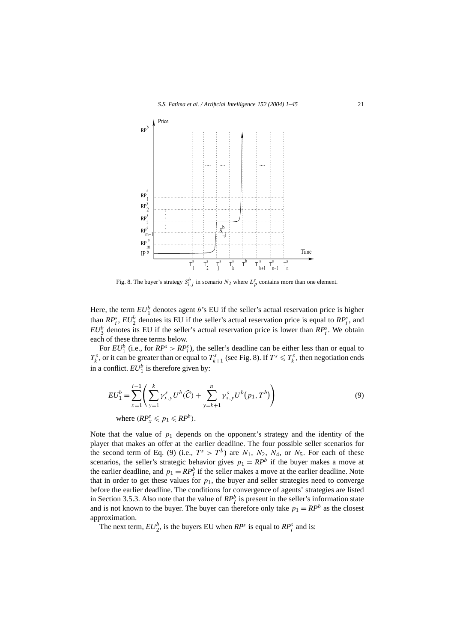

Fig. 8. The buyer's strategy  $S^b_{i,j}$  in scenario  $N_2$  where  $L^s_p$  contains more than one element.

Here, the term  $EU_1^b$  denotes agent *b*'s EU if the seller's actual reservation price is higher than  $RP_i^s$ ,  $EU_2^b$  denotes its EU if the seller's actual reservation price is equal to  $RP_i^s$ , and  $EU_3^b$  denotes its EU if the seller's actual reservation price is lower than  $RP_i^s$ . We obtain each of these three terms below.

For  $EU_1^b$  (i.e., for  $RP^s > RP_i^s$ ), the seller's deadline can be either less than or equal to  $T_k^s$ , or it can be greater than or equal to  $T_{k+1}^s$  (see Fig. 8). If  $T_s \le T_k^s$ , then negotiation ends in a conflict.  $EU_1^b$  is therefore given by:

$$
EU_1^b = \sum_{x=1}^{i-1} \left( \sum_{y=1}^k \gamma_{x,y}^s U^b(\widehat{C}) + \sum_{y=k+1}^n \gamma_{x,y}^s U^b(p_1, T^b) \right)
$$
  
where  $(RP_x^s \le p_1 \le RP^b)$ . (9)

Note that the value of  $p_1$  depends on the opponent's strategy and the identity of the player that makes an offer at the earlier deadline. The four possible seller scenarios for the second term of Eq. (9) (i.e.,  $T^s > T^b$ ) are  $N_1$ ,  $N_2$ ,  $N_4$ , or  $N_5$ . For each of these scenarios, the seller's strategic behavior gives  $p_1 = RP^b$  if the buyer makes a move at the earlier deadline, and  $p_1 = RP_I^b$  if the seller makes a move at the earlier deadline. Note that in order to get these values for  $p_1$ , the buyer and seller strategies need to converge before the earlier deadline. The conditions for convergence of agents' strategies are listed in Section 3.5.3. Also note that the value of  $RP_I^b$  is present in the seller's information state and is not known to the buyer. The buyer can therefore only take  $p_1 = RP^b$  as the closest approximation.

The next term,  $EU_2^b$ , is the buyers EU when  $RP^s$  is equal to  $RP_i^s$  and is: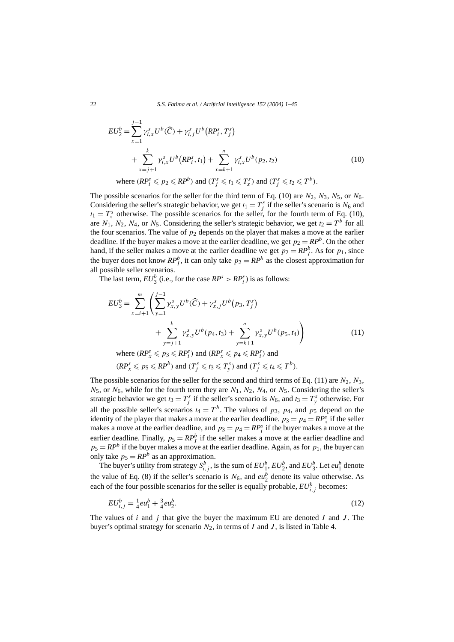$$
EU_2^b = \sum_{x=1}^{j-1} \gamma_{i,x}^s U^b(\widehat{C}) + \gamma_{i,j}^s U^b \left( RP_i^s, T_j^s \right)
$$
  
+ 
$$
\sum_{x=j+1}^{k} \gamma_{i,x}^s U^b \left( RP_i^s, t_1 \right) + \sum_{x=k+1}^{n} \gamma_{i,x}^s U^b(p_2, t_2)
$$
 (10)

where  $(RP_i^s \leqslant p_2 \leqslant RP^b)$  and  $(T_j^s \leqslant t_1 \leqslant T_x^s)$  and  $(T_j^s \leqslant t_2 \leqslant T^b)$ .

The possible scenarios for the seller for the third term of Eq. (10) are  $N_2$ ,  $N_3$ ,  $N_5$ , or  $N_6$ . Considering the seller's strategic behavior, we get  $t_1 = T_j^s$  if the seller's scenario is  $N_6$  and  $t_1 = T_x^s$  otherwise. The possible scenarios for the seller, for the fourth term of Eq. (10), are  $N_1$ ,  $N_2$ ,  $N_4$ , or  $N_5$ . Considering the seller's strategic behavior, we get  $t_2 = T^b$  for all the four scenarios. The value of  $p_2$  depends on the player that makes a move at the earlier deadline. If the buyer makes a move at the earlier deadline, we get  $p_2 = RP^b$ . On the other hand, if the seller makes a move at the earlier deadline we get  $p_2 = RP^b$ . As for  $p_1$ , since the buyer does not know  $RP_I^b$ , it can only take  $p_2 = RP^b$  as the closest approximation for all possible seller scenarios.

The last term,  $EU_3^b$  (i.e., for the case  $RP^s > RP_i^s$ ) is as follows:

$$
EU_3^b = \sum_{x=i+1}^m \left( \sum_{y=1}^{j-1} \gamma_{x,y}^s U^b(\widehat{C}) + \gamma_{x,j}^s U^b(p_3, T_j^s) + \sum_{y=j+1}^k \gamma_{x,y}^s U^b(p_4, t_3) + \sum_{y=k+1}^n \gamma_{x,y}^s U^b(p_5, t_4) \right)
$$
  
where  $(RP_x^s \leq p_3 \leq RP_i^s)$  and  $(RP_x^s \leq p_4 \leq RP_i^s)$  and  $(RP_x^s \leq p_5 \leq RP^b)$  and  $(T_j^s \leq t_3 \leq T_j^s)$  and  $(T_j^s \leq t_4 \leq T^b)$ . (11)

The possible scenarios for the seller for the second and third terms of Eq. (11) are  $N_2$ ,  $N_3$ ,  $N_5$ , or  $N_6$ , while for the fourth term they are  $N_1$ ,  $N_2$ ,  $N_4$ , or  $N_5$ . Considering the seller's strategic behavior we get  $t_3 = T_j^s$  if the seller's scenario is  $N_6$ , and  $t_3 = T_y^s$  otherwise. For all the possible seller's scenarios  $t_4 = T^b$ . The values of  $p_3$ ,  $p_4$ , and  $p_5$  depend on the identity of the player that makes a move at the earlier deadline.  $p_3 = p_4 = R P_x^s$  if the seller makes a move at the earlier deadline, and  $p_3 = p_4 = R P_i^s$  if the buyer makes a move at the earlier deadline. Finally,  $p_5 = RP_I^b$  if the seller makes a move at the earlier deadline and  $p_5 = RP^b$  if the buyer makes a move at the earlier deadline. Again, as for  $p_1$ , the buyer can only take  $p_5 = RP^b$  as an approximation.

The buyer's utility from strategy  $S_{i,j}^b$ , is the sum of  $EU_1^b, EU_2^b$ , and  $EU_3^b$ . Let  $eu_1^b$  denote the value of Eq. (8) if the seller's scenario is  $N_6$ , and  $e u_2^b$  denote its value otherwise. As each of the four possible scenarios for the seller is equally probable,  $EU_{i,j}^b$  becomes:

$$
EU_{i,j}^b = \frac{1}{4}eu_1^b + \frac{3}{4}eu_2^b.
$$
\n(12)

The values of *i* and *j* that give the buyer the maximum EU are denoted *I* and *J* . The buyer's optimal strategy for scenario  $N_2$ , in terms of *I* and *J*, is listed in Table 4.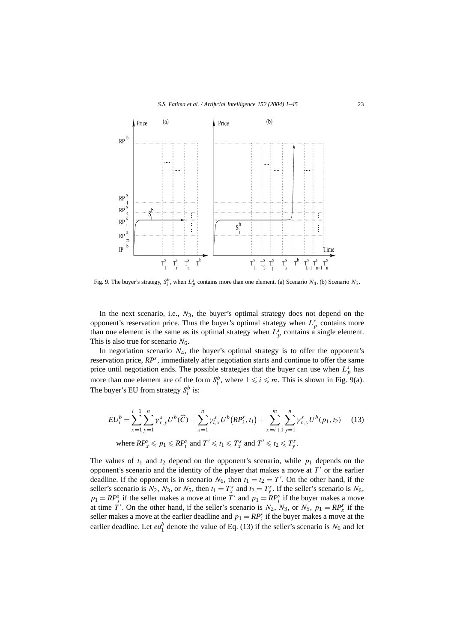

Fig. 9. The buyer's strategy,  $S_i^b$ , when  $L_p^s$  contains more than one element. (a) Scenario  $N_4$ . (b) Scenario  $N_5$ .

In the next scenario, i.e., *N*3, the buyer's optimal strategy does not depend on the opponent's reservation price. Thus the buyer's optimal strategy when  $L_p^s$  contains more than one element is the same as its optimal strategy when  $L_p^s$  contains a single element. This is also true for scenario  $N_6$ .

In negotiation scenario  $N_4$ , the buyer's optimal strategy is to offer the opponent's reservation price, *RPs*, immediately after negotiation starts and continue to offer the same price until negotiation ends. The possible strategies that the buyer can use when  $L_p^s$  has more than one element are of the form  $S_i^b$ , where  $1 \leq i \leq m$ . This is shown in Fig. 9(a). The buyer's EU from strategy  $S_i^b$  is:

$$
EU_i^b = \sum_{x=1}^{i-1} \sum_{y=1}^n \gamma_{x,y}^s U^b(\widehat{C}) + \sum_{x=1}^n \gamma_{i,x}^s U^b \big( RP_i^s, t_1 \big) + \sum_{x=i+1}^m \sum_{y=1}^n \gamma_{x,y}^s U^b(p_1, t_2) \tag{13}
$$
  
where  $RP_x^s \leq p_1 \leq RP_i^s$  and  $T' \leq t_1 \leq T_x^s$  and  $T' \leq t_2 \leq T_y^s$ .

The values of  $t_1$  and  $t_2$  depend on the opponent's scenario, while  $p_1$  depends on the opponent's scenario and the identity of the player that makes a move at  $T'$  or the earlier deadline. If the opponent is in scenario  $N_6$ , then  $t_1 = t_2 = T'$ . On the other hand, if the seller's scenario is  $N_2$ ,  $N_3$ , or  $N_5$ , then  $t_1 = T_x^s$  and  $t_2 = T_y^s$ . If the seller's scenario is  $N_6$ ,  $p_1 = RP_x^s$  if the seller makes a move at time  $T'$  and  $p_1 = RP_i^s$  if the buyer makes a move at time *T'*. On the other hand, if the seller's scenario is  $N_2$ ,  $N_3$ , or  $N_5$ ,  $p_1 = RP^s$ , if the seller makes a move at the earlier deadline and  $p_1 = R P_i^s$  if the buyer makes a move at the earlier deadline. Let  $eu_1^b$  denote the value of Eq. (13) if the seller's scenario is  $N_6$  and let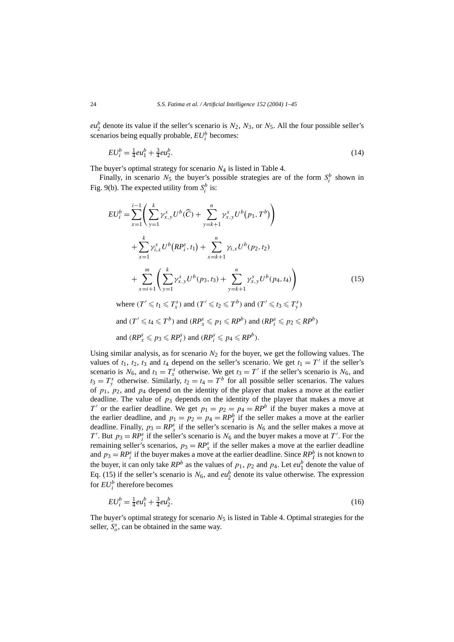$eu_2^b$  denote its value if the seller's scenario is  $N_2$ ,  $N_3$ , or  $N_5$ . All the four possible seller's scenarios being equally probable,  $EU_i^b$  becomes:

$$
EU_i^b = \frac{1}{4}eu_1^b + \frac{3}{4}eu_2^b.
$$
 (14)

The buyer's optimal strategy for scenario *N*<sup>4</sup> is listed in Table 4.

Finally, in scenario  $N_5$  the buyer's possible strategies are of the form  $S_i^b$  shown in Fig. 9(b). The expected utility from  $S_i^b$  is:

$$
EU_i^b = \sum_{x=1}^{i-1} \left( \sum_{y=1}^k \gamma_{x,y}^s U^b(\widehat{C}) + \sum_{y=k+1}^n \gamma_{x,y}^s U^b(p_1, T^b) \right)
$$
  
+ 
$$
\sum_{x=1}^k \gamma_{i,x}^s U^b \left( RP_i^s, t_1 \right) + \sum_{x=k+1}^n \gamma_{i,x} U^b(p_2, t_2)
$$
  
+ 
$$
\sum_{x=i+1}^m \left( \sum_{y=1}^k \gamma_{x,y}^s U^b(p_3, t_3) + \sum_{y=k+1}^n \gamma_{x,y}^s U^b(p_4, t_4) \right)
$$
(15)

where  $(T' \leq t_1 \leq T_x^s)$  and  $(T' \leq t_2 \leq T^b)$  and  $(T' \leq t_3 \leq T_y^s)$ 

and 
$$
(T' \leq t_4 \leq T^b)
$$
 and  $(RP_x^s \leq p_1 \leq RP^b)$  and  $(RP_i^s \leq p_2 \leq RP^b)$ 

and  $(RP_x^s \leqslant p_3 \leqslant R P_i^s)$  and  $(RP_i^s \leqslant p_4 \leqslant R P^b)$ .

Using similar analysis, as for scenario  $N_2$  for the buyer, we get the following values. The values of  $t_1$ ,  $t_2$ ,  $t_3$  and  $t_4$  depend on the seller's scenario. We get  $t_1 = T'$  if the seller's scenario is  $N_6$ , and  $t_1 = T_x^s$  otherwise. We get  $t_3 = T'$  if the seller's scenario is  $N_6$ , and  $t_3 = T_y^s$  otherwise. Similarly,  $t_2 = t_4 = T^b$  for all possible seller scenarios. The values of  $p_1$ ,  $p_2$ , and  $p_4$  depend on the identity of the player that makes a move at the earlier deadline. The value of *p*<sup>3</sup> depends on the identity of the player that makes a move at *T*' or the earlier deadline. We get  $p_1 = p_2 = p_4 = RP^b$  if the buyer makes a move at the earlier deadline, and  $p_1 = p_2 = p_4 = RP_I^b$  if the seller makes a move at the earlier deadline. Finally,  $p_3 = RP_x^s$  if the seller's scenario is  $N_6$  and the seller makes a move at *T'*. But  $p_3 = RP_i^s$  if the seller's scenario is  $N_6$  and the buyer makes a move at *T'*. For the remaining seller's scenarios,  $p_3 = RP_x^s$  if the seller makes a move at the earlier deadline and  $p_3 = RP_i^s$  if the buyer makes a move at the earlier deadline. Since  $RP_I^b$  is not known to the buyer, it can only take  $RP^b$  as the values of  $p_1$ ,  $p_2$  and  $p_4$ . Let  $eu_1^b$  denote the value of Eq. (15) if the seller's scenario is  $N_6$ , and  $e u_2^b$  denote its value otherwise. The expression for  $EU_i^b$  therefore becomes

$$
EU_i^b = \frac{1}{4}eu_1^b + \frac{3}{4}eu_2^b.
$$
 (16)

The buyer's optimal strategy for scenario  $N_5$  is listed in Table 4. Optimal strategies for the seller,  $S^s$ , can be obtained in the same way.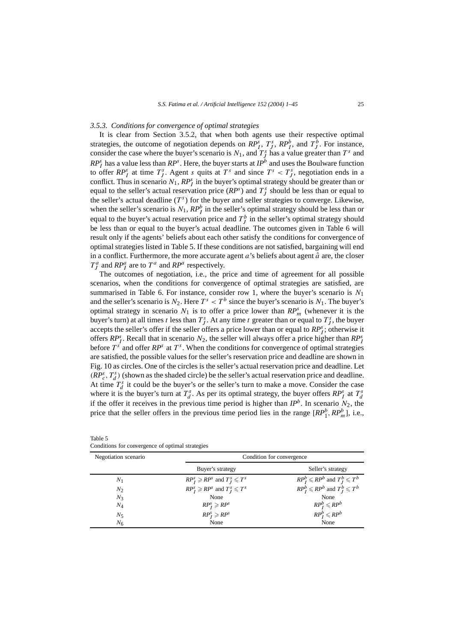#### *3.5.3. Conditions for convergence of optimal strategies*

It is clear from Section 3.5.2, that when both agents use their respective optimal strategies, the outcome of negotiation depends on  $RP_I^s$ ,  $T_J^s$ ,  $RP_I^b$ , and  $T_J^b$ . For instance, consider the case where the buyer's scenario is  $N_1$ , and  $T_j^s$  has a value greater than  $T^s$  and  $RP_I^s$  has a value less than  $RP^s$ . Here, the buyer starts at  $IP^b$  and uses the Boulware function to offer  $RP_I^s$  at time  $T_J^s$ . Agent *s* quits at  $T^s$  and since  $T^s < T_J^s$ , negotiation ends in a conflict. Thus in scenario  $N_1$ ,  $RP_I^s$  in the buyer's optimal strategy should be greater than or equal to the seller's actual reservation price  $(RP<sup>s</sup>)$  and  $T<sub>j</sub><sup>s</sup>$  should be less than or equal to the seller's actual deadline  $(T<sup>s</sup>)$  for the buyer and seller strategies to converge. Likewise, when the seller's scenario is  $N_1$ ,  $RP_I^b$  in the seller's optimal strategy should be less than or equal to the buyer's actual reservation price and  $T^b_J$  in the seller's optimal strategy should be less than or equal to the buyer's actual deadline. The outcomes given in Table 6 will result only if the agents' beliefs about each other satisfy the conditions for convergence of optimal strategies listed in Table 5. If these conditions are not satisfied, bargaining will end in a conflict. Furthermore, the more accurate agent  $a$ 's beliefs about agent  $\hat{a}$  are, the closer  $T_j^a$  and  $RP_j^a$  are to  $T^a$  and  $RP^a$  respectively.

The outcomes of negotiation, i.e., the price and time of agreement for all possible scenarios, when the conditions for convergence of optimal strategies are satisfied, are summarised in Table 6. For instance, consider row 1, where the buyer's scenario is *N*<sup>1</sup> and the seller's scenario is  $N_2$ . Here  $T^s < T^b$  since the buyer's scenario is  $N_1$ . The buyer's optimal strategy in scenario  $N_1$  is to offer a price lower than  $RP_m^s$  (whenever it is the buyer's turn) at all times *t* less than  $T_j^s$ . At any time *t* greater than or equal to  $T_j^s$ , the buyer accepts the seller's offer if the seller offers a price lower than or equal to  $RP_I^s$ ; otherwise it offers  $RP_I^s$ . Recall that in scenario  $N_2$ , the seller will always offer a price higher than  $RP_I^s$ before  $T^s$  and offer  $RP^s$  at  $T^s$ . When the conditions for convergence of optimal strategies are satisfied, the possible values for the seller's reservation price and deadline are shown in Fig. 10 as circles. One of the circles is the seller's actual reservation price and deadline. Let  $(RP_c^s, T_d^s)$  (shown as the shaded circle) be the seller's actual reservation price and deadline. At time  $T_d^s$  it could be the buyer's or the seller's turn to make a move. Consider the case where it is the buyer's turn at  $T_d^s$ . As per its optimal strategy, the buyer offers  $RP_f^s$  at  $T_d^s$ if the offer it receives in the previous time period is higher than  $IP^b$ . In scenario  $N_2$ , the price that the seller offers in the previous time period lies in the range  $[RP_1^b, RP_m^b]$ , i.e.,

| Negotiation scenario | Condition for convergence                |                                                   |  |  |  |
|----------------------|------------------------------------------|---------------------------------------------------|--|--|--|
|                      | Buyer's strategy                         | Seller's strategy                                 |  |  |  |
| $N_1$                | $RP_I^s \geq R P^s$ and $T_I^s \leq T^s$ | $RP_I^b \leqslant RP^b$ and $T_I^b \leqslant T^b$ |  |  |  |
| N <sub>2</sub>       | $RP_I^s \geq R P^s$ and $T_I^s \leq T^s$ | $RP_I^b \leqslant RP^b$ and $T_I^b \leqslant T^b$ |  |  |  |
| $N_3$                | None                                     | None                                              |  |  |  |
| $N_4$                | $RP_I^S \geq R P^S$                      | $RP_I^b \leqslant RP^b$                           |  |  |  |
| $N_5$                | $RP_I^S \geqslant RP^S$                  | $RPbI \leqslant RPb$                              |  |  |  |
| $N_6$                | None                                     | None                                              |  |  |  |

Table 5 Conditions for convergence of optimal strategies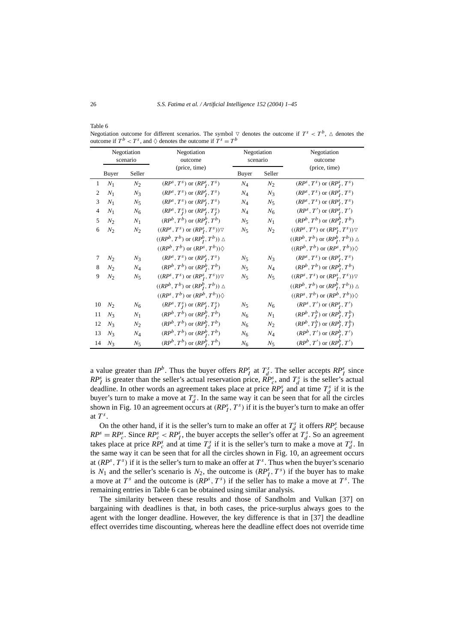|    | Negotiation<br>scenario |                | Negotiation<br>outcome                             | Negotiation    |                | Negotiation<br>outcome                           |
|----|-------------------------|----------------|----------------------------------------------------|----------------|----------------|--------------------------------------------------|
|    |                         |                | scenario<br>(price, time)                          |                |                | (price, time)                                    |
|    | Buyer                   | Seller         |                                                    | Buyer          | Seller         |                                                  |
| 1  | N <sub>1</sub>          | N <sub>2</sub> | $(RPs, Ts)$ or $(RPsI, Ts)$                        | $N_4$          | N <sub>2</sub> | $(RPs, Ts)$ or $(RPsI, Ts)$                      |
| 2  | N <sub>1</sub>          | $N_3$          | $(RPs, Ts)$ or $(RPsI, Ts)$                        | $N_4$          | $N_3$          | $(RPs, Ts)$ or $(RPsI, Ts)$                      |
| 3  | N <sub>1</sub>          | N <sub>5</sub> | $(RPs, Ts)$ or $(RPs, Ts)$                         | $N_4$          | $N_5$          | $(RPs, Ts)$ or $(RPs, Ts)$                       |
| 4  | N <sub>1</sub>          | $N_6$          | $(RP^s, T_I^s)$ or $(RP_I^s, T_I^s)$               | $N_4$          | $N_6$          | $(RPs, T')$ or $(RPs, T')$                       |
| 5  | N <sub>2</sub>          | $N_1$          | $(RP^b, T^b)$ or $(RP^b, T^b)$                     | $N_5$          | $N_1$          | $(RP^b, T^b)$ or $(RP^b, T^b)$                   |
| 6  | N <sub>2</sub>          | $N_2$          | $((RP^s, T^s)$ or $(RP^s, T^s))$ $\triangledown$   | $N_5$          | $N_2$          | $((RP^s, T^s)$ or $(RP_I^s, T^s))\triangledown$  |
|    |                         |                | $((RP^b, T^b)$ or $(RP^b, T^b)) \triangle$         |                |                | $((RP^b, T^b)$ or $(RP^b, T^b)) \triangle$       |
|    |                         |                | $((RP^b, T^b)$ or $(RP^s, T^b)$ ) $\diamondsuit$   |                |                | $((RP^b, T^b)$ or $(RP^s, T^b)$ ) $\diamondsuit$ |
| 7  | N <sub>2</sub>          | $N_3$          | $(RPs, Ts)$ or $(RPsI, Ts)$                        | $N_5$          | $N_3$          | $(RPs, Ts)$ or $(RPs, Ts)$                       |
| 8  | N <sub>2</sub>          | $N_{4}$        | $(RP^b, T^b)$ or $(RP^b, T^b)$                     | N <sub>5</sub> | $N_{4}$        | $(RP^b, T^b)$ or $(RP^b, T^b)$                   |
| 9  | N <sub>2</sub>          | $N_5$          | $((RP^s, T^s)$ or $(RP_I^s, T^s))$ $\triangledown$ | $N_5$          | $N_5$          | $((RP^s, T^s)$ or $(RP_I^s, T^s))\triangledown$  |
|    |                         |                | $((RP^b, T^b)$ or $(RP^b, T^b)) \triangle$         |                |                | $((RP^b, T^b)$ or $(RP^b, T^b)) \triangle$       |
|    |                         |                | $((RP^s, T^b)$ or $(RP^b, T^b)$ ) $\diamondsuit$   |                |                | $((RP^s, T^b)$ or $(RP^b, T^b)$ ) $\diamondsuit$ |
| 10 | N <sub>2</sub>          | N <sub>6</sub> | $(RP^s, T_I^s)$ or $(RP_I^s, T_I^s)$               | $N_5$          | N <sub>6</sub> | $(RPs, T')$ or $(RPs, T')$                       |
| 11 | $N_3$                   | $N_1$          | $(RP^b, T^b)$ or $(RP^b, T^b)$                     | $N_6$          | $N_1$          | $(RP^b, T_I^b)$ or $(RP_I^b, T_I^b)$             |
| 12 | $N_3$                   | $N_2$          | $(RP^b, T^b)$ or $(RP^b, T^b)$                     | $N_6$          | $N_2$          | $(RP^b, T_I^b)$ or $(RP_I^b, T_I^b)$             |
| 13 | $N_3$                   | $N_4$          | $(RP^b, T^b)$ or $(RP^b, T^b)$                     | $N_6$          | $N_{4}$        | $(RP^b, T')$ or $(RP^b, T')$                     |
| 14 | $N_3$                   | $N_5$          | $(RP^b, T^b)$ or $(RP^b, T^b)$                     | N <sub>6</sub> | $N_5$          | $(RP^b, T')$ or $(RP^b, T')$                     |

Negotiation outcome for different scenarios. The symbol  $\nabla$  denotes the outcome if  $T^s < T^b$ ,  $\triangle$  denotes the outcome if  $T^b < T^s$ , and  $\Diamond$  denotes the outcome if  $T^s = T^b$ 

a value greater than  $IP^b$ . Thus the buyer offers  $RP^s_I$  at  $T^s_d$ . The seller accepts  $RP^s_I$  since *RP*<sup>*s*</sup><sub>*I*</sub> is greater than the seller's actual reservation price,  $\overline{RP}^s_c$ , and  $T^s_d$  is the seller's actual deadline. In other words an agreement takes place at price  $RP^s_I$  and at time  $T^s_d$  if it is the buyer's turn to make a move at  $T_d^s$ . In the same way it can be seen that for all the circles shown in Fig. 10 an agreement occurs at  $(RP^s_I, T^s)$  if it is the buyer's turn to make an offer at  $T^s$ .

On the other hand, if it is the seller's turn to make an offer at  $T_d^s$  it offers  $RP_c^s$  because  $RP^s = RP^s_c$ . Since  $RP^s_c < RP^s_l$ , the buyer accepts the seller's offer at  $T^s_d$ . So an agreement takes place at price  $RP_c^s$  and at time  $T_d^s$  if it is the seller's turn to make a move at  $T_d^s$ . In the same way it can be seen that for all the circles shown in Fig. 10, an agreement occurs at  $(RP<sup>s</sup>, T<sup>s</sup>)$  if it is the seller's turn to make an offer at  $T<sup>s</sup>$ . Thus when the buyer's scenario is  $N_1$  and the seller's scenario is  $N_2$ , the outcome is  $(RP^s_I, T^s)$  if the buyer has to make a move at  $T^s$  and the outcome is  $(RP^s, T^s)$  if the seller has to make a move at  $T^s$ . The remaining entries in Table 6 can be obtained using similar analysis.

The similarity between these results and those of Sandholm and Vulkan [37] on bargaining with deadlines is that, in both cases, the price-surplus always goes to the agent with the longer deadline. However, the key difference is that in [37] the deadline effect overrides time discounting, whereas here the deadline effect does not override time

Table 6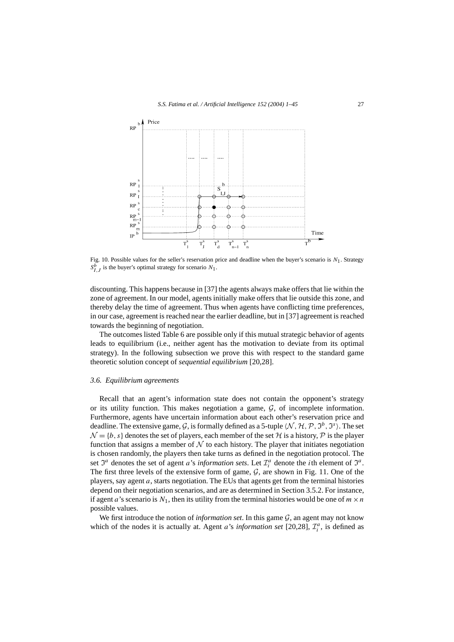

Fig. 10. Possible values for the seller's reservation price and deadline when the buyer's scenario is *N*1. Strategy  $S_{I,J}^b$  is the buyer's optimal strategy for scenario  $N_1$ .

discounting. This happens because in [37] the agents always make offers that lie within the zone of agreement. In our model, agents initially make offers that lie outside this zone, and thereby delay the time of agreement. Thus when agents have conflicting time preferences, in our case, agreement is reached near the earlier deadline, but in [37] agreement is reached towards the beginning of negotiation.

The outcomes listed Table 6 are possible only if this mutual strategic behavior of agents leads to equilibrium (i.e., neither agent has the motivation to deviate from its optimal strategy). In the following subsection we prove this with respect to the standard game theoretic solution concept of *sequential equilibrium* [20,28].

#### *3.6. Equilibrium agreements*

Recall that an agent's information state does not contain the opponent's strategy or its utility function. This makes negotiation a game,  $G$ , of incomplete information. Furthermore, agents have uncertain information about each other's reservation price and deadline. The extensive game,  $G$ , is formally defined as a 5-tuple  $(N, H, P, \mathfrak{I}^b, \mathfrak{I}^s)$ . The set  $\mathcal{N} = \{b, s\}$  denotes the set of players, each member of the set  $\mathcal{H}$  is a history,  $\mathcal{P}$  is the player function that assigns a member of  $\mathcal N$  to each history. The player that initiates negotiation is chosen randomly, the players then take turns as defined in the negotiation protocol. The set  $\mathfrak{I}^a$  denotes the set of agent *a*'s *information sets*. Let  $\mathcal{I}^a_i$  denote the *i*th element of  $\mathfrak{I}^a$ . The first three levels of the extensive form of game,  $G$ , are shown in Fig. 11. One of the players, say agent *a*, starts negotiation. The EUs that agents get from the terminal histories depend on their negotiation scenarios, and are as determined in Section 3.5.2. For instance, if agent *a*'s scenario is  $N_1$ , then its utility from the terminal histories would be one of  $m \times n$ possible values.

We first introduce the notion of *information set*. In this game  $G$ , an agent may not know which of the nodes it is actually at. Agent *a*'s *information set* [20,28],  $\mathcal{I}_i^a$ , is defined as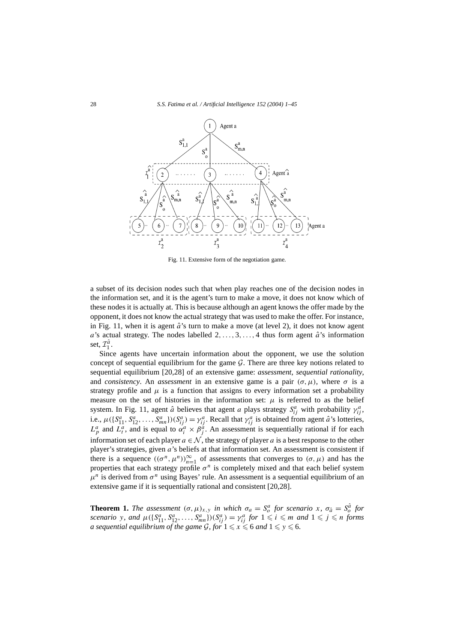

Fig. 11. Extensive form of the negotiation game.

a subset of its decision nodes such that when play reaches one of the decision nodes in the information set, and it is the agent's turn to make a move, it does not know which of these nodes it is actually at. This is because although an agent knows the offer made by the opponent, it does not know the actual strategy that was used to make the offer. For instance, in Fig. 11, when it is agent  $\hat{a}$ 's turn to make a move (at level 2), it does not know agent *a*'s actual strategy. The nodes labelled  $2, \ldots, 3, \ldots, 4$  thus form agent  $\hat{a}$ 's information set,  $\mathcal{I}_1^{\hat{a}}$ .

Since agents have uncertain information about the opponent, we use the solution concept of sequential equilibrium for the game  $G$ . There are three key notions related to sequential equilibrium [20,28] of an extensive game: *assessment*, *sequential rationality*, and *consistency*. An *assessment* in an extensive game is a pair  $(\sigma, \mu)$ , where  $\sigma$  is a strategy profile and  $\mu$  is a function that assigns to every information set a probability measure on the set of histories in the information set:  $\mu$  is referred to as the belief system. In Fig. 11, agent  $\hat{a}$  believes that agent  $a$  plays strategy  $S_{ij}^a$  with probability  $\gamma_{ij}^a$ , i.e.,  $\mu({S_{11}^a, S_{12}^a, \ldots, S_{mn}^a})({S_{ij}^a}) = \gamma_{ij}^a$ . Recall that  $\gamma_{ij}^a$  is obtained from agent  $\hat{a}$ 's lotteries,  $L_p^a$  and  $L_i^a$ , and is equal to  $\alpha_i^a \times \beta_j^a$ . An assessment is sequentially rational if for each information set of each player  $a \in \mathcal{N}$ , the strategy of player  $a$  is a best response to the other player's strategies, given *a*'s beliefs at that information set. An assessment is consistent if there is a sequence  $((\sigma^n, \mu^n))_{n=1}^{\infty}$  of assessments that converges to  $(\sigma, \mu)$  and has the properties that each strategy profile  $\sigma^n$  is completely mixed and that each belief system  $\mu^{n}$  is derived from  $\sigma^{n}$  using Bayes' rule. An assessment is a sequential equilibrium of an extensive game if it is sequentially rational and consistent [20,28].

**Theorem 1.** *The assessment*  $(\sigma, \mu)_{x,y}$  *in which*  $\sigma_a = S^a$  *for scenario x,*  $\sigma_{\hat{a}} = S^{\hat{a}}$  *for* scenario y, and  $\mu(\{S_{11}^a, S_{12}^a, \ldots, S_{mn}^a\})(S_{ij}^a) = \gamma_{ij}^a$  for  $1 \leq i \leq m$  and  $1 \leq j \leq n$  forms *a* sequential equilibrium of the game  $\mathcal{G}$ , for  $1 \leqslant x \leqslant 6$  and  $1 \leqslant y \leqslant 6$ .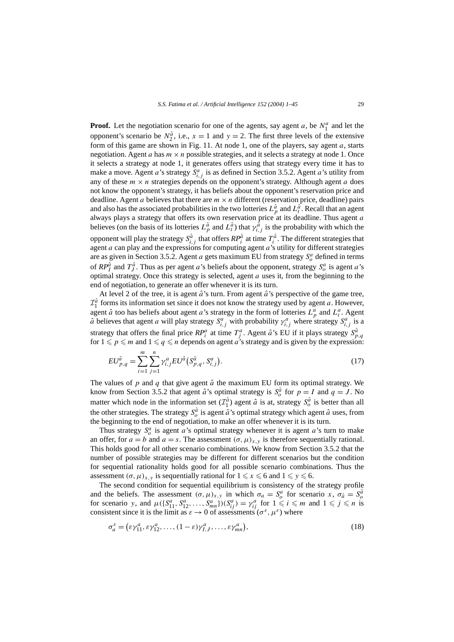**Proof.** Let the negotiation scenario for one of the agents, say agent *a*, be  $N_1^a$  and let the opponent's scenario be  $N_2^{\hat{a}}$ , i.e.,  $x = 1$  and  $y = 2$ . The first three levels of the extensive form of this game are shown in Fig. 11. At node 1, one of the players, say agent *a*, starts negotiation. Agent *a* has  $m \times n$  possible strategies, and it selects a strategy at node 1. Once it selects a strategy at node 1, it generates offers using that strategy every time it has to make a move. Agent *a*'s strategy  $S_{i,j}^a$  is as defined in Section 3.5.2. Agent *a*'s utility from any of these  $m \times n$  strategies depends on the opponent's strategy. Although agent *a* does not know the opponent's strategy, it has beliefs about the opponent's reservation price and deadline. Agent *a* believes that there are  $m \times n$  different (reservation price, deadline) pairs and also has the associated probabilities in the two lotteries  $L_p^{\hat{a}}$  and  $L_t^{\hat{a}}$ . Recall that an agent always plays a strategy that offers its own reservation price at its deadline. Thus agent *a* believes (on the basis of its lotteries  $L_p^{\hat{a}}$  and  $L_t^{\hat{a}}$ ) that  $\gamma_{i,j}^{\hat{a}}$  is the probability with which the opponent will play the strategy  $S^{\hat{a}}_{i,j}$  that offers  $RP^{\hat{a}}_i$  at time  $T^{\hat{a}}_i$ . The different strategies that agent *a* can play and the expressions for computing agent *a*'s utility for different strategies are as given in Section 3.5.2. Agent *a* gets maximum EU from strategy  $S^a$  defined in terms of  $RP_I^{\hat{a}}$  and  $T_J^{\hat{a}}$ . Thus as per agent *a*'s beliefs about the opponent, strategy  $S_o^a$  is agent *a*'s optimal strategy. Once this strategy is selected, agent *a* uses it, from the beginning to the end of negotiation, to generate an offer whenever it is its turn.

At level 2 of the tree, it is agent  $\hat{a}$ 's turn. From agent  $\hat{a}$ 's perspective of the game tree,  $\mathcal{I}_1^{\hat{a}}$  forms its information set since it does not know the strategy used by agent *a*. However, agent  $\hat{a}$  too has beliefs about agent *a*'s strategy in the form of lotteries  $L_p^a$  and  $L_t^a$ . Agent *a*<sup> $\hat{a}$ </sup> believes that agent *a* will play strategy  $S_{i,j}^a$  with probability  $\gamma_{i,j}^a$  where strategy  $S_{i,j}^a$  is a strategy that offers the final price  $RP_i^a$  at time  $T_j^a$ . Agent  $\hat{a}$ 's EU if it plays strategy  $S_{p,q}^{\hat{a}}$ for  $1 \leq p \leq m$  and  $1 \leq q \leq n$  depends on agent *a*'s strategy and is given by the expression:

$$
EU_{p,q}^{\hat{a}} = \sum_{i=1}^{m} \sum_{j=1}^{n} \gamma_{i,j}^{a} EU^{\hat{a}}(S_{p,q}^{\hat{a}}, S_{i,j}^{a}).
$$
\n(17)

The values of  $p$  and  $q$  that give agent  $\hat{a}$  the maximum EU form its optimal strategy. We know from Section 3.5.2 that agent  $\hat{a}$ 's optimal strategy is  $S_a^{\hat{a}}$  for  $p = I$  and  $q = J$ . No matter which node in the information set  $(\mathcal{I}_1^{\hat{a}})$  agent  $\hat{a}$  is at, strategy  $S^{\hat{a}}_{\hat{o}}$  is better than all the other strategies. The strategy  $S_a^{\hat{a}}$  is agent  $\hat{a}$ 's optimal strategy which agent  $\hat{a}$  uses, from the beginning to the end of negotiation, to make an offer whenever it is its turn.

Thus strategy  $S^a$  is agent *a*'s optimal strategy whenever it is agent *a*'s turn to make an offer, for  $a = b$  and  $a = s$ . The assessment  $(\sigma, \mu)_{x,y}$  is therefore sequentially rational. This holds good for all other scenario combinations. We know from Section 3.5.2 that the number of possible strategies may be different for different scenarios but the condition for sequential rationality holds good for all possible scenario combinations. Thus the assessment  $(\sigma, \mu)_{x,y}$  is sequentially rational for  $1 \leq x \leq 6$  and  $1 \leq y \leq 6$ .

The second condition for sequential equilibrium is consistency of the strategy profile and the beliefs. The assessment  $(\sigma, \mu)_{x,y}$  in which  $\sigma_a = S^a_o$  for scenario  $x, \sigma_a = S^a_o$ for scenario y, and  $\mu(\lbrace S_{11}^a, S_{12}^a, \ldots, S_{mn}^a \rbrace)(S_{ij}^a) = \gamma_{ij}^a$  for  $1 \le i \le m$  and  $1 \le j \le n$  is consistent since it is the limit as  $\varepsilon \to 0$  of assessments ( $\sigma^{\varepsilon}, \mu^{\varepsilon}$ ) where

$$
\sigma_a^{\varepsilon} = (\varepsilon \gamma_{11}^a, \varepsilon \gamma_{12}^a, \dots, (1 - \varepsilon) \gamma_{I, J}^a, \dots, \varepsilon \gamma_{mn}^a),
$$
\n(18)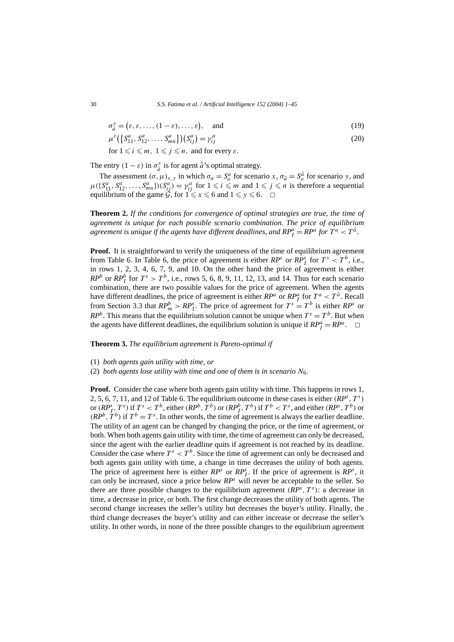$$
\sigma_{\hat{a}}^{\varepsilon} = (\varepsilon, \varepsilon, \dots, (1 - \varepsilon), \dots, \varepsilon), \quad \text{and} \tag{19}
$$

$$
\mu^{\varepsilon}\big(\big\{S_{11}^{a}, S_{12}^{a}, \dots, S_{mn}^{a}\big\}\big)\big(S_{ij}^{a}\big) = \gamma_{ij}^{a} \tag{20}
$$

for 
$$
1 \le i \le m
$$
,  $1 \le j \le n$ , and for every  $\varepsilon$ .

The entry  $(1 - \varepsilon)$  in  $\sigma_{\hat{a}}^{\varepsilon}$  is for agent  $\hat{a}$ 's optimal strategy.

The assessment  $(\sigma, \mu)_{x,y}$  in which  $\sigma_a = S^a$  for scenario *x*,  $\sigma_{\hat{a}} = S^{\hat{a}}$  for scenario *y*, and  $\mu(\{S_{11}^a, S_{12}^a, \ldots, S_{mn}^a\})(S_{ij}^a) = \gamma_{ij}^a$  for  $1 \leq i \leq m$  and  $1 \leq j \leq n$  is therefore a sequential equilibrium of the game  $\hat{\mathcal{G}}$ , for  $1 \leq x \leq 6$  and  $1 \leq y \leq 6$ .  $\Box$ 

**Theorem 2.** *If the conditions for convergence of optimal strategies are true, the time of agreement is unique for each possible scenario combination. The price of equilibrium*  $a$  greement is unique if the agents have different deadlines, and  $RP_I^a = RP^a$  for  $T^a < T^{\hat a}$ .

**Proof.** It is straightforward to verify the uniqueness of the time of equilibrium agreement from Table 6. In Table 6, the price of agreement is either  $RP^s$  or  $RP^s$  for  $T^s < T^b$ , i.e., in rows 1, 2, 3, 4, 6, 7, 9, and 10. On the other hand the price of agreement is either *RP*<sup>*b*</sup> or *RP*<sup>*b*</sup><sub>*I*</sub> for  $T^s > T^b$ , i.e., rows 5, 6, 8, 9, 11, 12, 13, and 14. Thus for each scenario combination, there are two possible values for the price of agreement. When the agents have different deadlines, the price of agreement is either  $RP^a$  or  $RP^a_I$  for  $T^a < T^{\hat{a}}$ . Recall from Section 3.3 that  $RP_m^b > RP_1^s$ . The price of agreement for  $T^s = T^b$  is either  $RP^s$  or *RP*<sup>*b*</sup>. This means that the equilibrium solution cannot be unique when  $T^s = T^b$ . But when the agents have different deadlines, the equilibrium solution is unique if  $RP_I^a = RP^a$ .  $\Box$ 

**Theorem 3.** *The equilibrium agreement is Pareto-optimal if*

- (1) *both agents gain utility with time, or*
- (2) *both agents lose utility with time and one of them is in scenario*  $N_6$ .

**Proof.** Consider the case where both agents gain utility with time. This happens in rows 1, 2, 5, 6, 7, 11, and 12 of Table 6. The equilibrium outcome in these cases is either  $(RP<sup>s</sup>, T<sup>s</sup>)$ or  $(RP^s_I, T^s)$  if  $T^s < T^b$ , either  $(RP^b, T^b)$  or  $(RP^b_I, T^b)$  if  $T^b < T^s$ , and either  $(RP^s, T^b)$  or  $(RP^b, T^b)$  if  $T^b = T^s$ . In other words, the time of agreement is always the earlier deadline. The utility of an agent can be changed by changing the price, or the time of agreement, or both. When both agents gain utility with time, the time of agreement can only be decreased, since the agent with the earlier deadline quits if agreement is not reached by its deadline. Consider the case where  $T^s < T^b$ . Since the time of agreement can only be decreased and both agents gain utility with time, a change in time decreases the utility of both agents. The price of agreement here is either  $RP^s$  or  $RP^s$ . If the price of agreement is  $RP^s$ , it can only be increased, since a price below *RP<sup>s</sup>* will never be acceptable to the seller. So there are three possible changes to the equilibrium agreement  $(RP<sup>s</sup>, T<sup>s</sup>)$ : a decrease in time, a decrease in price, or both. The first change decreases the utility of both agents. The second change increases the seller's utility but decreases the buyer's utility. Finally, the third change decreases the buyer's utility and can either increase or decrease the seller's utility. In other words, in none of the three possible changes to the equilibrium agreement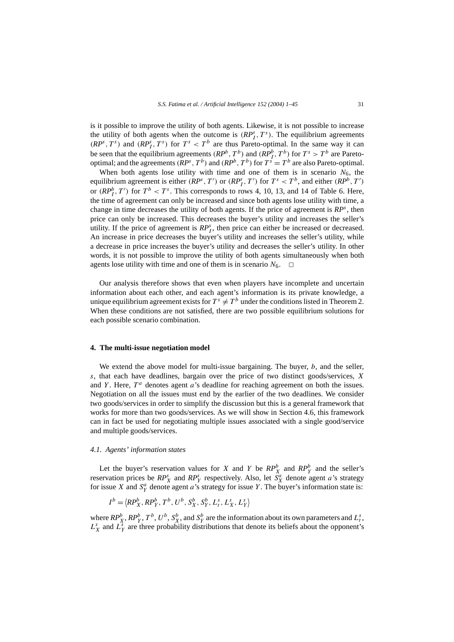is it possible to improve the utility of both agents. Likewise, it is not possible to increase the utility of both agents when the outcome is  $(RP<sub>I</sub><sup>s</sup>, T<sup>s</sup>)$ . The equilibrium agreements  $(RP^s, T^s)$  and  $(RP^s, T^s)$  for  $T^s < T^b$  are thus Pareto-optimal. In the same way it can be seen that the equilibrium agreements  $(RP^b, T^b)$  and  $(RP^b, T^b)$  for  $T^s > T^b$  are Paretooptimal; and the agreements  $(RP^s, T^b)$  and  $(RP^b, T^b)$  for  $T^s = T^b$  are also Pareto-optimal.

When both agents lose utility with time and one of them is in scenario  $N_6$ , the equilibrium agreement is either  $(RP^s, T')$  or  $(RP^s, T')$  for  $T^s < T^b$ , and either  $(RP^b, T')$ or  $(RP^b_I, T')$  for  $T^b < T^s$ . This corresponds to rows 4, 10, 13, and 14 of Table 6. Here, the time of agreement can only be increased and since both agents lose utility with time, a change in time decreases the utility of both agents. If the price of agreement is *RPs*, then price can only be increased. This decreases the buyer's utility and increases the seller's utility. If the price of agreement is  $RP_I^s$ , then price can either be increased or decreased. An increase in price decreases the buyer's utility and increases the seller's utility, while a decrease in price increases the buyer's utility and decreases the seller's utility. In other words, it is not possible to improve the utility of both agents simultaneously when both agents lose utility with time and one of them is in scenario  $N_6$ .  $\Box$ 

Our analysis therefore shows that even when players have incomplete and uncertain information about each other, and each agent's information is its private knowledge, a unique equilibrium agreement exists for  $T^s \neq T^b$  under the conditions listed in Theorem 2. When these conditions are not satisfied, there are two possible equilibrium solutions for each possible scenario combination.

# **4. The multi-issue negotiation model**

We extend the above model for multi-issue bargaining. The buyer, *b*, and the seller, *s*, that each have deadlines, bargain over the price of two distinct goods/services, *X* and *Y*. Here,  $T^a$  denotes agent *a*'s deadline for reaching agreement on both the issues. Negotiation on all the issues must end by the earlier of the two deadlines. We consider two goods/services in order to simplify the discussion but this is a general framework that works for more than two goods/services. As we will show in Section 4.6, this framework can in fact be used for negotiating multiple issues associated with a single good/service and multiple goods/services.

#### *4.1. Agents' information states*

Let the buyer's reservation values for *X* and *Y* be  $RP_X^b$  and  $RP_Y^b$  and the seller's reservation prices be  $RP_X^s$  and  $RP_Y^s$  respectively. Also, let  $\ddot{S}_X^a$  denote agent *a*'s strategy for issue *X* and  $S_Y^a$  denote agent *a*'s strategy for issue *Y*. The buyer's information state is:

$$
I^{b} = \langle RP_{X}^{b}, RP_{Y}^{b}, T^{b}, U^{b}, S_{X}^{b}, S_{Y}^{b}, L_{t}^{s}, L_{X}^{s}, L_{Y}^{s} \rangle
$$

where  $RP_X^b$ ,  $RP_Y^b$ ,  $T^b$ ,  $U^b$ ,  $S_X^b$ , and  $S_Y^b$  are the information about its own parameters and  $L_i^s$ ,  $L_X^s$  and  $L_Y^s$  are three probability distributions that denote its beliefs about the opponent's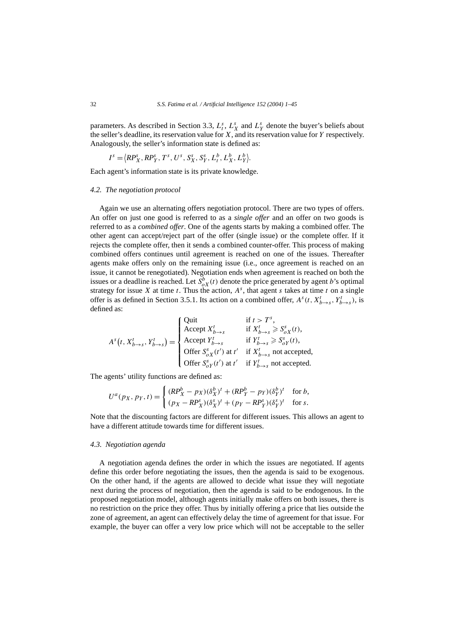parameters. As described in Section 3.3,  $L_f^s$ ,  $L_X^s$  and  $L_Y^s$  denote the buyer's beliefs about the seller's deadline, its reservation value for *X*, and its reservation value for *Y* respectively. Analogously, the seller's information state is defined as:

$$
I^{s} = \langle RP_{X}^{s}, RP_{Y}^{s}, T^{s}, U^{s}, S_{X}^{s}, S_{Y}^{s}, L_{t}^{b}, L_{X}^{b}, L_{Y}^{b} \rangle.
$$

Each agent's information state is its private knowledge.

# *4.2. The negotiation protocol*

Again we use an alternating offers negotiation protocol. There are two types of offers. An offer on just one good is referred to as a *single offer* and an offer on two goods is referred to as a *combined offer*. One of the agents starts by making a combined offer. The other agent can accept/reject part of the offer (single issue) or the complete offer. If it rejects the complete offer, then it sends a combined counter-offer. This process of making combined offers continues until agreement is reached on one of the issues. Thereafter agents make offers only on the remaining issue (i.e., once agreement is reached on an issue, it cannot be renegotiated). Negotiation ends when agreement is reached on both the issues or a deadline is reached. Let  $\overline{S}^b_{oX}(t)$  denote the price generated by agent *b*'s optimal strategy for issue *X* at time  $t$ . Thus the action,  $A^s$ , that agent  $s$  takes at time  $t$  on a single offer is as defined in Section 3.5.1. Its action on a combined offer,  $A^s(t, X^t_{b\to s}, Y^t_{b\to s})$ , is defined as:

$$
A^{s}(t, X_{b\to s}^{t}, Y_{b\to s}^{t}) = \begin{cases} \text{Quit} & \text{if } t > T^{s}, \\ \text{Accept } X_{b\to s}^{t} & \text{if } X_{b\to s}^{t} \ge S_{oX}^{s}(t), \\ \text{Accept } Y_{b\to s}^{t} & \text{if } Y_{b\to s}^{t} \ge S_{oY}^{s}(t), \\ \text{Offer } S_{oX}^{s}(t') \text{ at } t' & \text{if } X_{b\to s}^{t} \text{ not accepted,} \\ \text{Offer } S_{oY}^{s}(t') \text{ at } t' & \text{if } Y_{b\to s}^{t} \text{ not accepted.} \end{cases}
$$

The agents' utility functions are defined as:

$$
U^{a}(p_{X}, p_{Y}, t) = \begin{cases} (RP_{X}^{b} - px)(\delta_{X}^{b})^{t} + (RP_{Y}^{b} - py)(\delta_{Y}^{b})^{t} & \text{for } b, \\ (px - RP_{X}^{s})(\delta_{X}^{s})^{t} + (py - RP_{Y}^{s})(\delta_{Y}^{s})^{t} & \text{for } s. \end{cases}
$$

Note that the discounting factors are different for different issues. This allows an agent to have a different attitude towards time for different issues.

#### *4.3. Negotiation agenda*

A negotiation agenda defines the order in which the issues are negotiated. If agents define this order before negotiating the issues, then the agenda is said to be exogenous. On the other hand, if the agents are allowed to decide what issue they will negotiate next during the process of negotiation, then the agenda is said to be endogenous. In the proposed negotiation model, although agents initially make offers on both issues, there is no restriction on the price they offer. Thus by initially offering a price that lies outside the zone of agreement, an agent can effectively delay the time of agreement for that issue. For example, the buyer can offer a very low price which will not be acceptable to the seller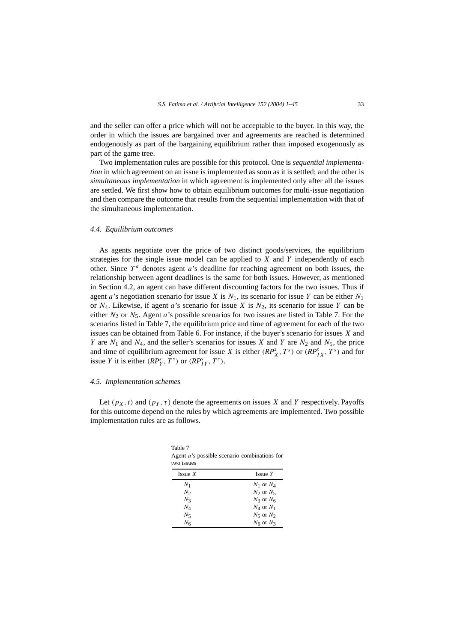and the seller can offer a price which will not be acceptable to the buyer. In this way, the order in which the issues are bargained over and agreements are reached is determined endogenously as part of the bargaining equilibrium rather than imposed exogenously as part of the game tree.

Two implementation rules are possible for this protocol. One is *sequential implementation* in which agreement on an issue is implemented as soon as it is settled; and the other is *simultaneous implementation* in which agreement is implemented only after all the issues are settled. We first show how to obtain equilibrium outcomes for multi-issue negotiation and then compare the outcome that results from the sequential implementation with that of the simultaneous implementation.

#### *4.4. Equilibrium outcomes*

As agents negotiate over the price of two distinct goods/services, the equilibrium strategies for the single issue model can be applied to *X* and *Y* independently of each other. Since  $T^a$  denotes agent *a*'s deadline for reaching agreement on both issues, the relationship between agent deadlines is the same for both issues. However, as mentioned in Section 4.2, an agent can have different discounting factors for the two issues. Thus if agent *a*'s negotiation scenario for issue *X* is *N*1, its scenario for issue *Y* can be either *N*<sup>1</sup> or *N*4. Likewise, if agent *a*'s scenario for issue *X* is *N*2, its scenario for issue *Y* can be either *N*<sub>2</sub> or *N*<sub>5</sub>. Agent *a*'s possible scenarios for two issues are listed in Table 7. For the scenarios listed in Table 7, the equilibrium price and time of agreement for each of the two issues can be obtained from Table 6. For instance, if the buyer's scenario for issues *X* and *Y* are *N*<sup>1</sup> and *N*4, and the seller's scenarios for issues *X* and *Y* are *N*<sup>2</sup> and *N*5, the price and time of equilibrium agreement for issue *X* is either  $(RP_X^s, T^s)$  or  $(RP_{IX}^s, T^s)$  and for issue *Y* it is either  $(RP_Y^s, T^s)$  or  $(RP_{IY}^s, T^s)$ .

# *4.5. Implementation schemes*

Let  $(p_X, t)$  and  $(p_Y, \tau)$  denote the agreements on issues *X* and *Y* respectively. Payoffs for this outcome depend on the rules by which agreements are implemented. Two possible implementation rules are as follows.

Agent *a*'s possible scenario combinations for

| two issues     |                |  |  |
|----------------|----------------|--|--|
| Issue $X$      | $I$ ssue $Y$   |  |  |
| N <sub>1</sub> | $N_1$ or $N_4$ |  |  |
| N <sub>2</sub> | $N_2$ or $N_5$ |  |  |
| $N_3$          | $N_3$ or $N_6$ |  |  |
| $N_{\rm 4}$    | $N_4$ or $N_1$ |  |  |
| $N_{5}$        | $N_5$ or $N_2$ |  |  |
| N <sub>6</sub> | $N_6$ or $N_3$ |  |  |

Table 7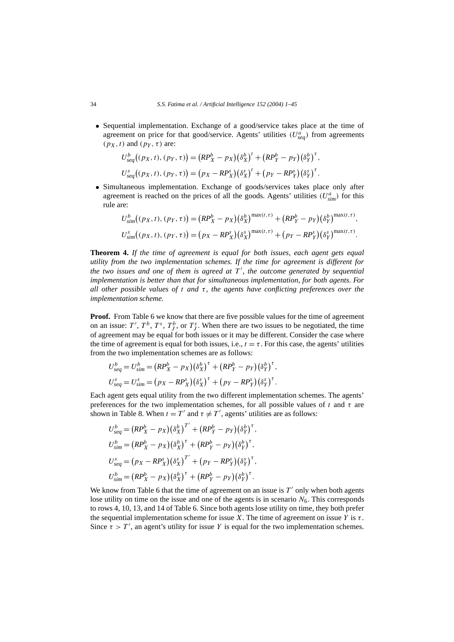• Sequential implementation. Exchange of a good/service takes place at the time of agreement on price for that good/service. Agents' utilities  $(U_{seq}^a)$  from agreements *(pX,t)* and *(pY ,τ)* are:

$$
U_{seq}^{b}((p_X, t), (p_Y, \tau)) = (RP_X^b - px)(\delta_X^b)^t + (RP_Y^b - py)(\delta_Y^b)^{\tau},
$$
  

$$
U_{seq}^{s}((p_X, t), (p_Y, \tau)) = (p_X - RP_X^s)(\delta_X^s)^t + (p_Y - RP_Y^s)(\delta_Y^s)^{\tau}.
$$

• Simultaneous implementation. Exchange of goods/services takes place only after agreement is reached on the prices of all the goods. Agents' utilities  $(U_{sim}^a)$  for this rule are:

$$
U_{sim}^{b}((p_{X},t),(p_{Y},\tau)) = (RP_{X}^{b} - p_{X})(\delta_{X}^{b})^{\max(t,\tau)} + (RP_{Y}^{b} - p_{Y})(\delta_{Y}^{b})^{\max(t,\tau)},
$$
  

$$
U_{sim}^{s}((p_{X},t),(p_{Y},\tau)) = (p_{X} - RP_{X}^{s})(\delta_{X}^{s})^{\max(t,\tau)} + (p_{Y} - RP_{Y}^{s})(\delta_{Y}^{s})^{\max(t,\tau)}.
$$

**Theorem 4.** *If the time of agreement is equal for both issues, each agent gets equal utility from the two implementation schemes. If the time for agreement is different for the two issues and one of them is agreed at T', the outcome generated by sequential implementation is better than that for simultaneous implementation, for both agents. For all other possible values of t and τ , the agents have conflicting preferences over the implementation scheme.*

**Proof.** From Table 6 we know that there are five possible values for the time of agreement on an issue:  $T'$ ,  $T^b$ ,  $T^s$ ,  $T^b$ , or  $T^s$ . When there are two issues to be negotiated, the time of agreement may be equal for both issues or it may be different. Consider the case where the time of agreement is equal for both issues, i.e.,  $t = \tau$ . For this case, the agents' utilities from the two implementation schemes are as follows:

$$
U_{seq}^b = U_{sim}^b = (RP_X^b - px)(\delta_X^b)^{\tau} + (RP_Y^b - py)(\delta_Y^b)^{\tau},
$$
  
\n
$$
U_{seq}^s = U_{sim}^s = (px - RP_X^s)(\delta_X^s)^{\tau} + (py - RP_Y^s)(\delta_Y^s)^{\tau}.
$$

Each agent gets equal utility from the two different implementation schemes. The agents' preferences for the two implementation schemes, for all possible values of  $t$  and  $\tau$  are shown in Table 8. When  $t = T'$  and  $\tau \neq T'$ , agents' utilities are as follows:

$$
U_{seq}^{b} = (RP_{X}^{b} - px)(\delta_{X}^{b})^{T'} + (RP_{Y}^{b} - py)(\delta_{Y}^{b})^{\tau},
$$
  
\n
$$
U_{sim}^{b} = (RP_{X}^{b} - px)(\delta_{X}^{b})^{\tau} + (RP_{Y}^{b} - py)(\delta_{Y}^{b})^{\tau},
$$
  
\n
$$
U_{seq}^{s} = (px - RP_{X}^{s})(\delta_{X}^{s})^{T'} + (py - RP_{Y}^{s})(\delta_{Y}^{s})^{\tau},
$$
  
\n
$$
U_{sim}^{b} = (RP_{X}^{b} - px)(\delta_{X}^{b})^{\tau} + (RP_{Y}^{b} - py)(\delta_{Y}^{b})^{\tau}.
$$

We know from Table 6 that the time of agreement on an issue is  $T'$  only when both agents lose utility on time on the issue and one of the agents is in scenario  $N<sub>6</sub>$ . This corresponds to rows 4, 10, 13, and 14 of Table 6. Since both agents lose utility on time, they both prefer the sequential implementation scheme for issue *X*. The time of agreement on issue *Y* is  $\tau$ . Since  $\tau > T'$ , an agent's utility for issue *Y* is equal for the two implementation schemes.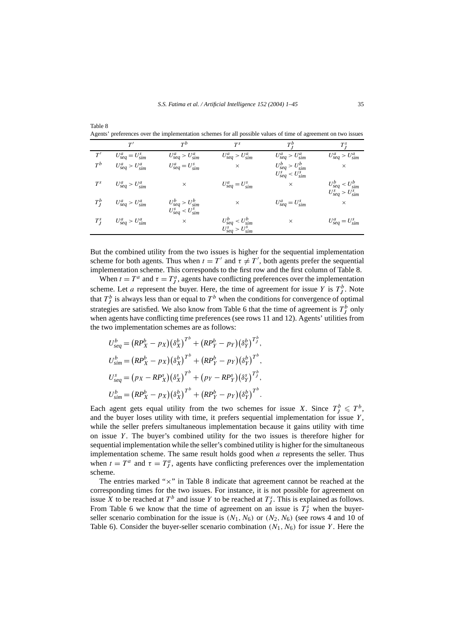|         | T'                                    | $T^b$                                              | $T^{S}$                                                                        | $T^b$                                              | $T_I^s$                                            |
|---------|---------------------------------------|----------------------------------------------------|--------------------------------------------------------------------------------|----------------------------------------------------|----------------------------------------------------|
| T'      | $U_{\text{seq}}^a = U_{\text{sim}}^s$ | $U_{seq}^a > U_{sim}^a$                            | $U_{seq}^a > U_{sim}^a$                                                        | $U_{seq}^a > U_{sim}^a$                            | $U_{seq}^a > U_{sim}^a$                            |
| $T^b$   | $U_{seq}^a > U_{sim}^a$               | $U_{seq}^a = U_{sim}^s$                            | $\times$                                                                       | $U_{seq}^b > U_{sim}^b$<br>$U_{seq}^s < U_{sim}^s$ | $\times$                                           |
| $T^s$   | $U_{seq}^a > U_{sim}^a$               | $\times$                                           | $U_{seq}^a = U_{sim}^s$                                                        | $\times$                                           | $U_{seq}^b < U_{sim}^b$<br>$U_{seq}^s > U_{sim}^s$ |
| $T^b_I$ | $U_{seq}^a > U_{sim}^a$               | $U_{seq}^b > U_{sim}^b$<br>$U_{seq}^s < U_{sim}^s$ | $\times$                                                                       | $U_{seq}^a = U_{sim}^s$                            | $\times$                                           |
| $T_I^s$ | $U_{seq}^a > U_{sim}^a$               | $\times$                                           | $\begin{array}{c} U_{seq}^b < U_{sim}^b\\ U_{seq}^s > U_{sim}^s\\ \end{array}$ | $\times$                                           | $U_{\text{seq}}^a = U_{\text{sim}}^s$              |

| Tubic o |  |                                                                                                                |  |  |  |  |
|---------|--|----------------------------------------------------------------------------------------------------------------|--|--|--|--|
|         |  | Agents' preferences over the implementation schemes for all possible values of time of agreement on two issues |  |  |  |  |
|         |  |                                                                                                                |  |  |  |  |

Table 8

But the combined utility from the two issues is higher for the sequential implementation scheme for both agents. Thus when  $t = T'$  and  $\tau \neq T'$ , both agents prefer the sequential implementation scheme. This corresponds to the first row and the first column of Table 8.

When  $t = T^a$  and  $\tau = T^a_J$ , agents have conflicting preferences over the implementation scheme. Let *a* represent the buyer. Here, the time of agreement for issue *Y* is  $T^b_J$ . Note that  $T^b_J$  is always less than or equal to  $T^b$  when the conditions for convergence of optimal strategies are satisfied. We also know from Table 6 that the time of agreement is  $T_J^b$  only when agents have conflicting time preferences (see rows 11 and 12). Agents' utilities from the two implementation schemes are as follows:

$$
U_{seq}^{b} = (RP_{X}^{b} - px)(\delta_{X}^{b})^{T^{b}} + (RP_{Y}^{b} - py)(\delta_{Y}^{b})^{T^{b}},
$$
  
\n
$$
U_{sim}^{b} = (RP_{X}^{b} - px)(\delta_{X}^{b})^{T^{b}} + (RP_{Y}^{b} - py)(\delta_{Y}^{b})^{T^{b}},
$$
  
\n
$$
U_{seq}^{s} = (px - RP_{X}^{s})(\delta_{X}^{s})^{T^{b}} + (py - RP_{Y}^{s})(\delta_{Y}^{s})^{T^{b}},
$$
  
\n
$$
U_{sim}^{b} = (RP_{X}^{b} - px)(\delta_{X}^{b})^{T^{b}} + (RP_{Y}^{b} - py)(\delta_{Y}^{b})^{T^{b}}.
$$

Each agent gets equal utility from the two schemes for issue *X*. Since  $T_j^b \le T^b$ , and the buyer loses utility with time, it prefers sequential implementation for issue *Y* , while the seller prefers simultaneous implementation because it gains utility with time on issue *Y* . The buyer's combined utility for the two issues is therefore higher for sequential implementation while the seller's combined utility is higher for the simultaneous implementation scheme. The same result holds good when *a* represents the seller. Thus when  $t = T^a$  and  $\tau = T^a_J$ , agents have conflicting preferences over the implementation scheme.

The entries marked " $\times$ " in Table 8 indicate that agreement cannot be reached at the corresponding times for the two issues. For instance, it is not possible for agreement on issue *X* to be reached at  $T^b$  and issue *Y* to be reached at  $T^s$ . This is explained as follows. From Table 6 we know that the time of agreement on an issue is  $T_j^s$  when the buyerseller scenario combination for the issue is  $(N_1, N_6)$  or  $(N_2, N_6)$  (see rows 4 and 10 of Table 6). Consider the buyer-seller scenario combination  $(N_1, N_6)$  for issue *Y*. Here the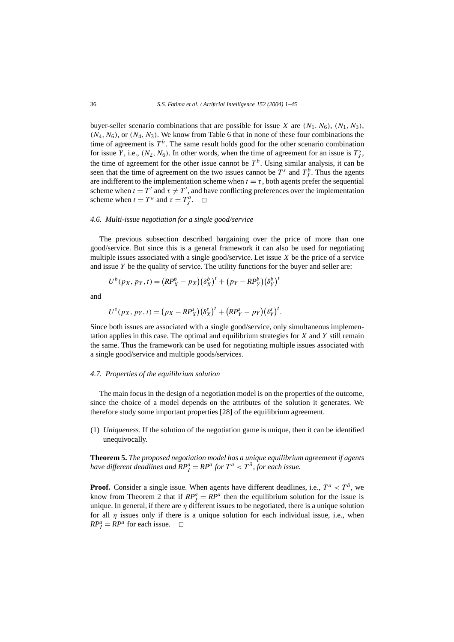buyer-seller scenario combinations that are possible for issue *X* are  $(N_1, N_6)$ ,  $(N_1, N_3)$ , *(N*4*, N*6*)*, or *(N*4*, N*3*)*. We know from Table 6 that in none of these four combinations the time of agreement is  $T^b$ . The same result holds good for the other scenario combination for issue *Y*, i.e.,  $(N_2, N_6)$ . In other words, when the time of agreement for an issue is  $T_j^s$ , the time of agreement for the other issue cannot be  $T<sup>b</sup>$ . Using similar analysis, it can be seen that the time of agreement on the two issues cannot be  $T^s$  and  $T^b$ . Thus the agents are indifferent to the implementation scheme when  $t = \tau$ , both agents prefer the sequential scheme when  $t = T'$  and  $\tau \neq T'$ , and have conflicting preferences over the implementation scheme when  $t = T^a$  and  $\tau = T^a_J$ .  $\Box$ 

#### *4.6. Multi-issue negotiation for a single good/service*

The previous subsection described bargaining over the price of more than one good/service. But since this is a general framework it can also be used for negotiating multiple issues associated with a single good/service. Let issue *X* be the price of a service and issue *Y* be the quality of service. The utility functions for the buyer and seller are:

$$
U^{b}(p_{X}, p_{Y}, t) = (RP_{X}^{b} - p_{X})(\delta_{X}^{b})^{t} + (p_{Y} - RP_{Y}^{b})(\delta_{Y}^{b})^{t}
$$

and

$$
U^s(p_X, p_Y, t) = (p_X - RP^s_X)(\delta^s_X)^t + (RP^s_Y - p_Y)(\delta^s_Y)^t.
$$

Since both issues are associated with a single good/service, only simultaneous implementation applies in this case. The optimal and equilibrium strategies for *X* and *Y* still remain the same. Thus the framework can be used for negotiating multiple issues associated with a single good/service and multiple goods/services.

# *4.7. Properties of the equilibrium solution*

The main focus in the design of a negotiation model is on the properties of the outcome, since the choice of a model depends on the attributes of the solution it generates. We therefore study some important properties [28] of the equilibrium agreement.

(1) *Uniqueness*. If the solution of the negotiation game is unique, then it can be identified unequivocally.

**Theorem 5.** *The proposed negotiation model has a unique equilibrium agreement if agents have different deadlines and*  $RP_I^a = RP^a$  *for*  $T^a < T^{\hat{a}}$ , for each issue.

**Proof.** Consider a single issue. When agents have different deadlines, i.e.,  $T^a < T^{\hat{a}}$ , we know from Theorem 2 that if  $RP_I^a = RP^a$  then the equilibrium solution for the issue is unique. In general, if there are *η* different issues to be negotiated, there is a unique solution for all  $\eta$  issues only if there is a unique solution for each individual issue, i.e., when  $RP_I^a = RP^a$  for each issue.  $\square$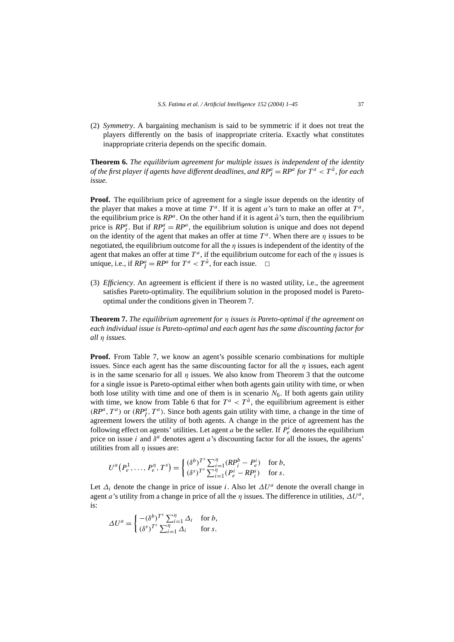(2) *Symmetry*. A bargaining mechanism is said to be symmetric if it does not treat the players differently on the basis of inappropriate criteria. Exactly what constitutes inappropriate criteria depends on the specific domain.

**Theorem 6.** *The equilibrium agreement for multiple issues is independent of the identity of the first player if agents have different deadlines, and*  $RP_I^a = RP^a$  *for*  $T^a < T^{\hat a}$ *, for each issue.*

**Proof.** The equilibrium price of agreement for a single issue depends on the identity of the player that makes a move at time  $T^a$ . If it is agent *a*'s turn to make an offer at  $T^a$ , the equilibrium price is  $RP^a$ . On the other hand if it is agent  $\hat{a}$ 's turn, then the equilibrium price is  $RP_I^a$ . But if  $RP_I^a = RP^a$ , the equilibrium solution is unique and does not depend on the identity of the agent that makes an offer at time  $T^a$ . When there are  $\eta$  issues to be negotiated, the equilibrium outcome for all the *η* issues is independent of the identity of the agent that makes an offer at time  $T^a$ , if the equilibrium outcome for each of the  $\eta$  issues is unique, i.e., if  $RP_I^a = RP^a$  for  $T^a < T^{\hat{a}}$ , for each issue.  $\Box$ 

(3) *Efficiency*. An agreement is efficient if there is no wasted utility, i.e., the agreement satisfies Pareto-optimality. The equilibrium solution in the proposed model is Paretooptimal under the conditions given in Theorem 7.

**Theorem 7.** *The equilibrium agreement for η issues is Pareto-optimal if the agreement on each individual issue is Pareto-optimal and each agent has the same discounting factor for all η issues.*

**Proof.** From Table 7, we know an agent's possible scenario combinations for multiple issues. Since each agent has the same discounting factor for all the  $\eta$  issues, each agent is in the same scenario for all  $\eta$  issues. We also know from Theorem 3 that the outcome for a single issue is Pareto-optimal either when both agents gain utility with time, or when both lose utility with time and one of them is in scenario  $N<sub>6</sub>$ . If both agents gain utility with time, we know from Table 6 that for  $T^a < T^{\hat{a}}$ , the equilibrium agreement is either  $(RP^a, T^a)$  or  $(RP^a, T^a)$ . Since both agents gain utility with time, a change in the time of agreement lowers the utility of both agents. A change in the price of agreement has the following effect on agents' utilities. Let agent *a* be the seller. If  $P_e^i$  denotes the equilibrium price on issue *i* and  $\delta^a$  denotes agent *a*'s discounting factor for all the issues, the agents' utilities from all *η* issues are:

$$
U^{a}(P_e^{1},...,P_e^{n},T^s) = \begin{cases} (\delta^b)^{T^s} \sum_{i=1}^n (RP_i^b - P_e^i) & \text{for } b, \\ (\delta^s)^{T^s} \sum_{i=1}^n (P_e^i - RP_i^s) & \text{for } s. \end{cases}
$$

Let *∆i* denote the change in price of issue *i*. Also let *∆U<sup>a</sup>* denote the overall change in agent *a*'s utility from a change in price of all the *η* issues. The difference in utilities,  $\Delta U^a$ , is:

$$
\Delta U^a = \begin{cases}\n-(\delta^b)^{T^s} \sum_{i=1}^{\eta} \Delta_i & \text{for } b, \\
(\delta^s)^{T^s} \sum_{i=1}^{\eta} \Delta_i & \text{for } s.\n\end{cases}
$$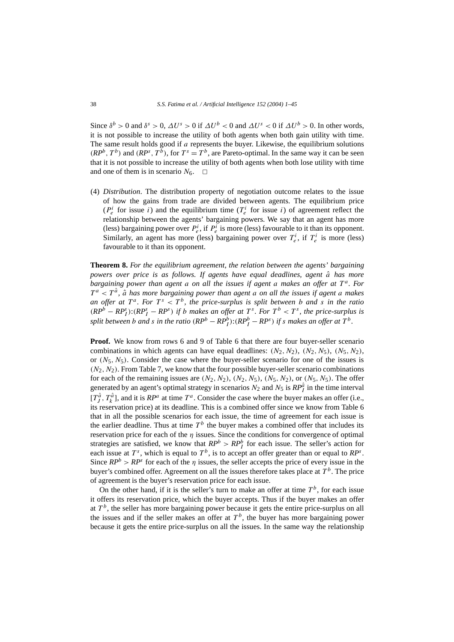Since  $\delta^b > 0$  and  $\delta^s > 0$ ,  $\Delta U^s > 0$  if  $\Delta U^b < 0$  and  $\Delta U^s < 0$  if  $\Delta U^b > 0$ . In other words, it is not possible to increase the utility of both agents when both gain utility with time. The same result holds good if *a* represents the buyer. Likewise, the equilibrium solutions  $(RP^b, T^b)$  and  $(RP^s, T^b)$ , for  $T^s = T^b$ , are Pareto-optimal. In the same way it can be seen that it is not possible to increase the utility of both agents when both lose utility with time and one of them is in scenario  $N_6$ .  $\Box$ 

(4) *Distribution*. The distribution property of negotiation outcome relates to the issue of how the gains from trade are divided between agents. The equilibrium price  $(P_e^i)$  for issue *i*) and the equilibrium time  $(T_e^i)$  for issue *i*) of agreement reflect the relationship between the agents' bargaining powers. We say that an agent has more (less) bargaining power over  $P_e^i$ , if  $P_e^i$  is more (less) favourable to it than its opponent. Similarly, an agent has more (less) bargaining power over  $T_e^i$ , if  $T_e^i$  is more (less) favourable to it than its opponent.

**Theorem 8.** *For the equilibrium agreement, the relation between the agents' bargaining powers over price is as follows. If agents have equal deadlines, agent a*ˆ *has more bargaining power than agent a on all the issues if agent a makes an offer at T <sup>a</sup>. For*  $T^a < T^{\hat{a}}$ ,  $\hat{a}$  *has more bargaining power than agent a on all the issues if agent a makes an offer at*  $T^a$ *. For*  $T^s < T^b$ *, the price-surplus is split between b and s in the ratio*  $(RP^b - RP_I^s)$ :  $(RP_I^s - RP^s)$  if b makes an offer at  $T^s$ . For  $T^b < T^s$ , the price-surplus is split between b and s in the ratio  $(RP^b - RP_I^b)$ : $(RP_I^b - RP^s)$  if s makes an offer at  $T^b$ .

**Proof.** We know from rows 6 and 9 of Table 6 that there are four buyer-seller scenario combinations in which agents can have equal deadlines:  $(N_2, N_2)$ ,  $(N_2, N_5)$ ,  $(N_5, N_2)$ , or  $(N_5, N_5)$ . Consider the case where the buyer-seller scenario for one of the issues is  $(N_2, N_2)$ . From Table 7, we know that the four possible buyer-seller scenario combinations for each of the remaining issues are  $(N_2, N_2)$ ,  $(N_2, N_5)$ ,  $(N_5, N_2)$ , or  $(N_5, N_5)$ . The offer generated by an agent's optimal strategy in scenarios  $N_2$  and  $N_5$  is  $RP_I^{\hat{a}}$  in the time interval  $[T_J^{\hat{a}}$ ,  $T_k^{\hat{a}}$ ], and it is  $RP^a$  at time  $T^a$ . Consider the case where the buyer makes an offer (i.e., its reservation price) at its deadline. This is a combined offer since we know from Table 6 that in all the possible scenarios for each issue, the time of agreement for each issue is the earlier deadline. Thus at time  $T<sup>b</sup>$  the buyer makes a combined offer that includes its reservation price for each of the  $\eta$  issues. Since the conditions for convergence of optimal strategies are satisfied, we know that  $RP^b > RP^b_I$  for each issue. The seller's action for each issue at  $T^s$ , which is equal to  $T^b$ , is to accept an offer greater than or equal to  $RP^s$ . Since  $RP^b > RP^s$  for each of the *η* issues, the seller accepts the price of every issue in the buyer's combined offer. Agreement on all the issues therefore takes place at  $T^b$ . The price of agreement is the buyer's reservation price for each issue.

On the other hand, if it is the seller's turn to make an offer at time  $T<sup>b</sup>$ , for each issue it offers its reservation price, which the buyer accepts. Thus if the buyer makes an offer at  $T^b$ , the seller has more bargaining power because it gets the entire price-surplus on all the issues and if the seller makes an offer at  $T<sup>b</sup>$ , the buyer has more bargaining power because it gets the entire price-surplus on all the issues. In the same way the relationship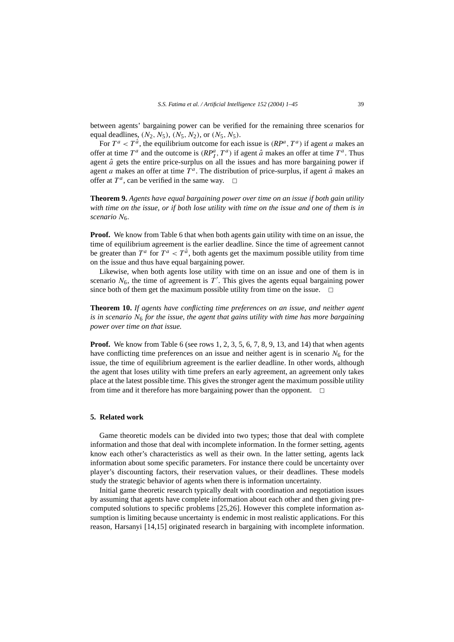between agents' bargaining power can be verified for the remaining three scenarios for equal deadlines, *(N*2*, N*5*)*, *(N*5*, N*2*)*, or *(N*5*, N*5*)*.

For  $T^a < T^{\hat{a}}$ , the equilibrium outcome for each issue is  $(RP^a, T^a)$  if agent *a* makes an offer at time  $T^a$  and the outcome is  $(RP^a_I, T^a)$  if agent  $\hat{a}$  makes an offer at time  $T^a$ . Thus agent  $\hat{a}$  gets the entire price-surplus on all the issues and has more bargaining power if agent *a* makes an offer at time  $T<sup>a</sup>$ . The distribution of price-surplus, if agent  $\hat{a}$  makes an offer at  $T^a$ , can be verified in the same way.  $\Box$ 

**Theorem 9.** *Agents have equal bargaining power over time on an issue if both gain utility with time on the issue, or if both lose utility with time on the issue and one of them is in scenario N*6*.*

**Proof.** We know from Table 6 that when both agents gain utility with time on an issue, the time of equilibrium agreement is the earlier deadline. Since the time of agreement cannot be greater than  $T^a$  for  $T^a < T^{\hat{a}}$ , both agents get the maximum possible utility from time on the issue and thus have equal bargaining power.

Likewise, when both agents lose utility with time on an issue and one of them is in scenario  $N_6$ , the time of agreement is  $T'$ . This gives the agents equal bargaining power since both of them get the maximum possible utility from time on the issue.  $\Box$ 

**Theorem 10.** *If agents have conflicting time preferences on an issue, and neither agent is in scenario N*<sup>6</sup> *for the issue, the agent that gains utility with time has more bargaining power over time on that issue.*

**Proof.** We know from Table 6 (see rows 1, 2, 3, 5, 6, 7, 8, 9, 13, and 14) that when agents have conflicting time preferences on an issue and neither agent is in scenario  $N<sub>6</sub>$  for the issue, the time of equilibrium agreement is the earlier deadline. In other words, although the agent that loses utility with time prefers an early agreement, an agreement only takes place at the latest possible time. This gives the stronger agent the maximum possible utility from time and it therefore has more bargaining power than the opponent.  $\Box$ 

# **5. Related work**

Game theoretic models can be divided into two types; those that deal with complete information and those that deal with incomplete information. In the former setting, agents know each other's characteristics as well as their own. In the latter setting, agents lack information about some specific parameters. For instance there could be uncertainty over player's discounting factors, their reservation values, or their deadlines. These models study the strategic behavior of agents when there is information uncertainty.

Initial game theoretic research typically dealt with coordination and negotiation issues by assuming that agents have complete information about each other and then giving precomputed solutions to specific problems [25,26]. However this complete information assumption is limiting because uncertainty is endemic in most realistic applications. For this reason, Harsanyi [14,15] originated research in bargaining with incomplete information.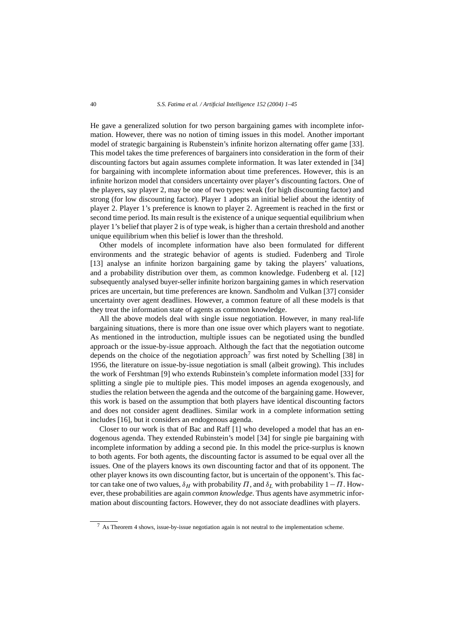He gave a generalized solution for two person bargaining games with incomplete information. However, there was no notion of timing issues in this model. Another important model of strategic bargaining is Rubenstein's infinite horizon alternating offer game [33]. This model takes the time preferences of bargainers into consideration in the form of their discounting factors but again assumes complete information. It was later extended in [34] for bargaining with incomplete information about time preferences. However, this is an infinite horizon model that considers uncertainty over player's discounting factors. One of the players, say player 2, may be one of two types: weak (for high discounting factor) and strong (for low discounting factor). Player 1 adopts an initial belief about the identity of player 2. Player 1's preference is known to player 2. Agreement is reached in the first or second time period. Its main result is the existence of a unique sequential equilibrium when player 1's belief that player 2 is of type weak, is higher than a certain threshold and another unique equilibrium when this belief is lower than the threshold.

Other models of incomplete information have also been formulated for different environments and the strategic behavior of agents is studied. Fudenberg and Tirole [13] analyse an infinite horizon bargaining game by taking the players' valuations, and a probability distribution over them, as common knowledge. Fudenberg et al. [12] subsequently analysed buyer-seller infinite horizon bargaining games in which reservation prices are uncertain, but time preferences are known. Sandholm and Vulkan [37] consider uncertainty over agent deadlines. However, a common feature of all these models is that they treat the information state of agents as common knowledge.

All the above models deal with single issue negotiation. However, in many real-life bargaining situations, there is more than one issue over which players want to negotiate. As mentioned in the introduction, multiple issues can be negotiated using the bundled approach or the issue-by-issue approach. Although the fact that the negotiation outcome depends on the choice of the negotiation approach<sup>7</sup> was first noted by Schelling [38] in 1956, the literature on issue-by-issue negotiation is small (albeit growing). This includes the work of Fershtman [9] who extends Rubinstein's complete information model [33] for splitting a single pie to multiple pies. This model imposes an agenda exogenously, and studies the relation between the agenda and the outcome of the bargaining game. However, this work is based on the assumption that both players have identical discounting factors and does not consider agent deadlines. Similar work in a complete information setting includes [16], but it considers an endogenous agenda.

Closer to our work is that of Bac and Raff [1] who developed a model that has an endogenous agenda. They extended Rubinstein's model [34] for single pie bargaining with incomplete information by adding a second pie. In this model the price-surplus is known to both agents. For both agents, the discounting factor is assumed to be equal over all the issues. One of the players knows its own discounting factor and that of its opponent. The other player knows its own discounting factor, but is uncertain of the opponent's. This factor can take one of two values,  $\delta_H$  with probability *Π*, and  $\delta_L$  with probability 1 − *Π*. However, these probabilities are again *common knowledge*. Thus agents have asymmetric information about discounting factors. However, they do not associate deadlines with players.

<sup>7</sup> As Theorem 4 shows, issue-by-issue negotiation again is not neutral to the implementation scheme.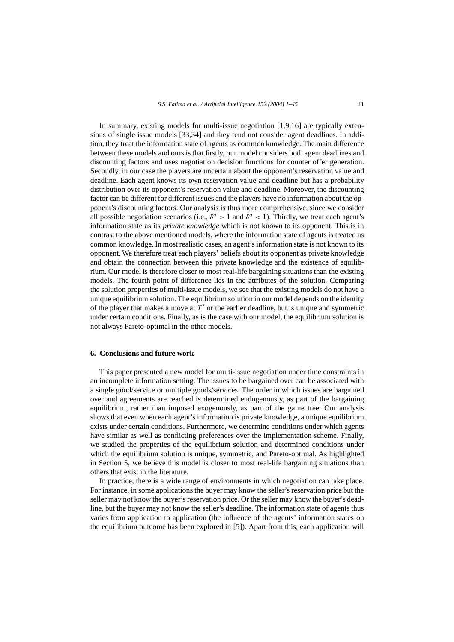In summary, existing models for multi-issue negotiation [1,9,16] are typically extensions of single issue models [33,34] and they tend not consider agent deadlines. In addition, they treat the information state of agents as common knowledge. The main difference between these models and ours is that firstly, our model considers both agent deadlines and discounting factors and uses negotiation decision functions for counter offer generation. Secondly, in our case the players are uncertain about the opponent's reservation value and deadline. Each agent knows its own reservation value and deadline but has a probability distribution over its opponent's reservation value and deadline. Moreover, the discounting factor can be different for different issues and the players have no information about the opponent's discounting factors. Our analysis is thus more comprehensive, since we consider all possible negotiation scenarios (i.e.,  $\delta^a > 1$  and  $\delta^a < 1$ ). Thirdly, we treat each agent's information state as its *private knowledge* which is not known to its opponent. This is in contrast to the above mentioned models, where the information state of agents is treated as common knowledge. In most realistic cases, an agent's information state is not known to its opponent. We therefore treat each players' beliefs about its opponent as private knowledge and obtain the connection between this private knowledge and the existence of equilibrium. Our model is therefore closer to most real-life bargaining situations than the existing models. The fourth point of difference lies in the attributes of the solution. Comparing the solution properties of multi-issue models, we see that the existing models do not have a unique equilibrium solution. The equilibrium solution in our model depends on the identity of the player that makes a move at *T'* or the earlier deadline, but is unique and symmetric under certain conditions. Finally, as is the case with our model, the equilibrium solution is not always Pareto-optimal in the other models.

# **6. Conclusions and future work**

This paper presented a new model for multi-issue negotiation under time constraints in an incomplete information setting. The issues to be bargained over can be associated with a single good/service or multiple goods/services. The order in which issues are bargained over and agreements are reached is determined endogenously, as part of the bargaining equilibrium, rather than imposed exogenously, as part of the game tree. Our analysis shows that even when each agent's information is private knowledge, a unique equilibrium exists under certain conditions. Furthermore, we determine conditions under which agents have similar as well as conflicting preferences over the implementation scheme. Finally, we studied the properties of the equilibrium solution and determined conditions under which the equilibrium solution is unique, symmetric, and Pareto-optimal. As highlighted in Section 5, we believe this model is closer to most real-life bargaining situations than others that exist in the literature.

In practice, there is a wide range of environments in which negotiation can take place. For instance, in some applications the buyer may know the seller's reservation price but the seller may not know the buyer's reservation price. Or the seller may know the buyer's deadline, but the buyer may not know the seller's deadline. The information state of agents thus varies from application to application (the influence of the agents' information states on the equilibrium outcome has been explored in [5]). Apart from this, each application will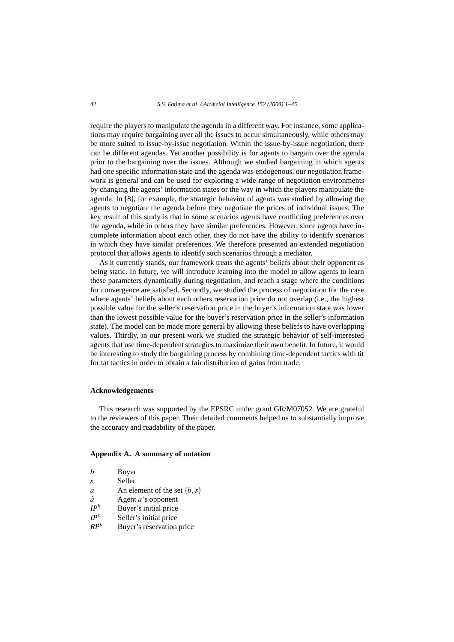require the players to manipulate the agenda in a different way. For instance, some applications may require bargaining over all the issues to occur simultaneously, while others may be more suited to issue-by-issue negotiation. Within the issue-by-issue negotiation, there can be different agendas. Yet another possibility is for agents to bargain over the agenda prior to the bargaining over the issues. Although we studied bargaining in which agents had one specific information state and the agenda was endogenous, our negotiation framework is general and can be used for exploring a wide range of negotiation environments by changing the agents' information states or the way in which the players manipulate the agenda. In [8], for example, the strategic behavior of agents was studied by allowing the agents to negotiate the agenda before they negotiate the prices of individual issues. The key result of this study is that in some scenarios agents have conflicting preferences over the agenda, while in others they have similar preferences. However, since agents have incomplete information about each other, they do not have the ability to identify scenarios in which they have similar preferences. We therefore presented an extended negotiation protocol that allows agents to identify such scenarios through a mediator.

As it currently stands, our framework treats the agents' beliefs about their opponent as being static. In future, we will introduce learning into the model to allow agents to learn these parameters dynamically during negotiation, and reach a stage where the conditions for convergence are satisfied. Secondly, we studied the process of negotiation for the case where agents' beliefs about each others reservation price do not overlap (i.e., the highest possible value for the seller's reservation price in the buyer's information state was lower than the lowest possible value for the buyer's reservation price in the seller's information state). The model can be made more general by allowing these beliefs to have overlapping values. Thirdly, in our present work we studied the strategic behavior of self-interested agents that use time-dependent strategies to maximize their own benefit. In future, it would be interesting to study the bargaining process by combining time-dependent tactics with tit for tat tactics in order to obtain a fair distribution of gains from trade.

# **Acknowledgements**

This research was supported by the EPSRC under grant GR/M07052. We are grateful to the reviewers of this paper. Their detailed comments helped us to substantially improve the accuracy and readability of the paper.

# **Appendix A. A summary of notation**

| b               | Buyer                            |
|-----------------|----------------------------------|
| $\mathcal{S}$   | Seller                           |
| a               | An element of the set $\{b, s\}$ |
| â               | Agent $a$ 's opponent            |
| $IP^b$          | Buyer's initial price            |
| IP <sup>S</sup> | Seller's initial price           |
| $RP^b$          | Buyer's reservation price        |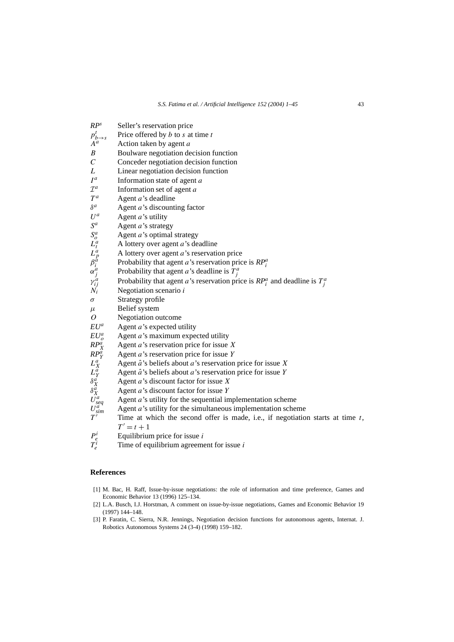| RP <sup>s</sup>                                                                                                                      | Seller's reservation price                                                               |
|--------------------------------------------------------------------------------------------------------------------------------------|------------------------------------------------------------------------------------------|
| $\begin{array}{l} p^t_{b\rightarrow s}\\ A^a \end{array}$                                                                            | Price offered by $b$ to $s$ at time $t$                                                  |
|                                                                                                                                      | Action taken by agent a                                                                  |
| B                                                                                                                                    | Boulware negotiation decision function                                                   |
| $\mathcal{C}_{\mathcal{C}}$                                                                                                          | Conceder negotiation decision function                                                   |
| L                                                                                                                                    | Linear negotiation decision function                                                     |
| $I^a$                                                                                                                                | Information state of agent a                                                             |
| $\mathcal{I}^a$                                                                                                                      | Information set of agent a                                                               |
| $T^a$                                                                                                                                | Agent <i>a</i> 's deadline                                                               |
| $\delta^a$                                                                                                                           | Agent $a$ 's discounting factor                                                          |
| $U^a$                                                                                                                                | Agent $a$ 's utility                                                                     |
| $S^a$                                                                                                                                | Agent <i>a</i> 's strategy                                                               |
|                                                                                                                                      | Agent <i>a</i> 's optimal strategy                                                       |
|                                                                                                                                      | A lottery over agent $a$ 's deadline                                                     |
|                                                                                                                                      | A lottery over agent $a$ 's reservation price                                            |
|                                                                                                                                      | Probability that agent a's reservation price is $RP_i^a$                                 |
|                                                                                                                                      | Probability that agent a's deadline is $T_i^a$                                           |
| $\begin{array}{c} S_o^a \\ L_t^a \\ \beta_i^a \\ \alpha_j^a \\ \gamma_{ij}^a \\ N_i \end{array}$                                     | Probability that agent <i>a</i> 's reservation price is $RP_i^a$ and deadline is $T_i^a$ |
|                                                                                                                                      | Negotiation scenario i                                                                   |
| $\sigma$                                                                                                                             | Strategy profile                                                                         |
| $\mu$                                                                                                                                | Belief system                                                                            |
| $\boldsymbol{O}$                                                                                                                     | Negotiation outcome                                                                      |
| $EU^a$                                                                                                                               | Agent <i>a</i> 's expected utility                                                       |
|                                                                                                                                      | Agent $a$ 's maximum expected utility                                                    |
|                                                                                                                                      | Agent $a$ 's reservation price for issue $X$                                             |
|                                                                                                                                      | Agent $a$ 's reservation price for issue $Y$                                             |
| $\begin{array}{l} EU^a_o \ R P^a_X \ R P^a_Y \ L^a_X \ L^a_Y \ \delta^a_X \ \delta^a_X \ U^a_{seq} \ U^{sim}_{sim} \ T' \end{array}$ | Agent $\hat{a}$ 's beliefs about $a$ 's reservation price for issue X                    |
|                                                                                                                                      | Agent $\hat{a}$ 's beliefs about $a$ 's reservation price for issue Y                    |
|                                                                                                                                      | Agent $a$ 's discount factor for issue $X$                                               |
|                                                                                                                                      | Agent $a$ 's discount factor for issue $Y$                                               |
|                                                                                                                                      | Agent $a$ 's utility for the sequential implementation scheme                            |
|                                                                                                                                      | Agent <i>a</i> 's utility for the simultaneous implementation scheme                     |
|                                                                                                                                      | Time at which the second offer is made, i.e., if negotiation starts at time $t$ ,        |
|                                                                                                                                      | $T' = t + 1$                                                                             |
| $P_e^i$                                                                                                                              | Equilibrium price for issue $i$                                                          |
|                                                                                                                                      |                                                                                          |

 $T_e^i$ *<sup>e</sup>* Time of equilibrium agreement for issue *i*

# **References**

- [1] M. Bac, H. Raff, Issue-by-issue negotiations: the role of information and time preference, Games and Economic Behavior 13 (1996) 125–134.
- [2] L.A. Busch, I.J. Horstman, A comment on issue-by-issue negotiations, Games and Economic Behavior 19 (1997) 144–148.
- [3] P. Faratin, C. Sierra, N.R. Jennings, Negotiation decision functions for autonomous agents, Internat. J. Robotics Autonomous Systems 24 (3-4) (1998) 159–182.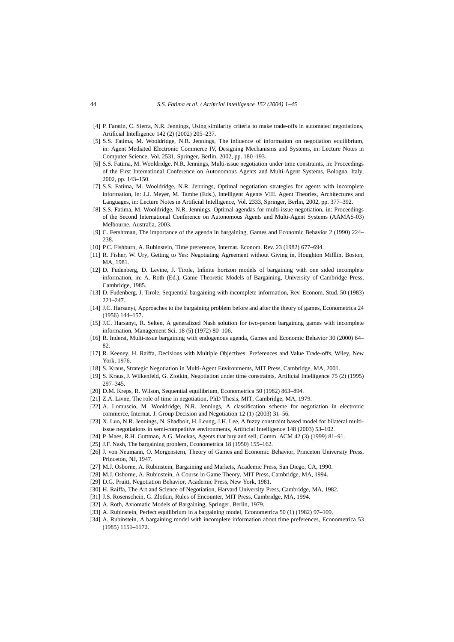- [4] P. Faratin, C. Sierra, N.R. Jennings, Using similarity criteria to make trade-offs in automated negotiations, Artificial Intelligence 142 (2) (2002) 205–237.
- [5] S.S. Fatima, M. Wooldridge, N.R. Jennings, The influence of information on negotiation equilibrium, in: Agent Mediated Electronic Commerce IV, Designing Mechanisms and Systems, in: Lecture Notes in Computer Science, Vol. 2531, Springer, Berlin, 2002, pp. 180–193.
- [6] S.S. Fatima, M. Wooldridge, N.R. Jennings, Multi-issue negotiation under time constraints, in: Proceedings of the First International Conference on Autonomous Agents and Multi-Agent Systems, Bologna, Italy, 2002, pp. 143–150.
- [7] S.S. Fatima, M. Wooldridge, N.R. Jennings, Optimal negotiation strategies for agents with incomplete information, in: J.J. Meyer, M. Tambe (Eds.), Intelligent Agents VIII. Agent Theories, Architectures and Languages, in: Lecture Notes in Artificial Intelligence, Vol. 2333, Springer, Berlin, 2002, pp. 377–392.
- [8] S.S. Fatima, M. Wooldridge, N.R. Jennings, Optimal agendas for multi-issue negotiation, in: Proceedings of the Second International Conference on Autonomous Agents and Multi-Agent Systems (AAMAS-03) Melbourne, Australia, 2003.
- [9] C. Fershtman, The importance of the agenda in bargaining, Games and Economic Behavior 2 (1990) 224– 238.
- [10] P.C. Fishburn, A. Rubinstein, Time preference, Internat. Econom. Rev. 23 (1982) 677–694.
- [11] R. Fisher, W. Ury, Getting to Yes: Negotiating Agreement without Giving in, Houghton Mifflin, Boston, MA, 1981.
- [12] D. Fudenberg, D. Levine, J. Tirole, Infinite horizon models of bargaining with one sided incomplete information, in: A. Roth (Ed.), Game Theoretic Models of Bargaining, University of Cambridge Press, Cambridge, 1985.
- [13] D. Fudenberg, J. Tirole, Sequential bargaining with incomplete information, Rev. Econom. Stud. 50 (1983) 221–247.
- [14] J.C. Harsanyi, Approaches to the bargaining problem before and after the theory of games, Econometrica 24 (1956) 144–157.
- [15] J.C. Harsanyi, R. Selten, A generalized Nash solution for two-person bargaining games with incomplete information, Management Sci. 18 (5) (1972) 80–106.
- [16] R. Inderst, Multi-issue bargaining with endogenous agenda, Games and Economic Behavior 30 (2000) 64– 82.
- [17] R. Keeney, H. Raiffa, Decisions with Multiple Objectives: Preferences and Value Trade-offs, Wiley, New York, 1976.
- [18] S. Kraus, Strategic Negotiation in Multi-Agent Environments, MIT Press, Cambridge, MA, 2001.
- [19] S. Kraus, J. Wilkenfeld, G. Zlotkin, Negotiation under time constraints, Artificial Intelligence 75 (2) (1995) 297–345.
- [20] D.M. Kreps, R. Wilson, Sequential equilibrium, Econometrica 50 (1982) 863–894.
- [21] Z.A. Livne, The role of time in negotiation, PhD Thesis, MIT, Cambridge, MA, 1979.
- [22] A. Lomuscio, M. Wooldridge, N.R. Jennings, A classification scheme for negotiation in electronic commerce, Internat. J. Group Decision and Negotiation 12 (1) (2003) 31–56.
- [23] X. Luo, N.R. Jennings, N. Shadbolt, H. Leung, J.H. Lee, A fuzzy constraint based model for bilateral multiissue negotiations in semi-competitive environments, Artificial Intelligence 148 (2003) 53–102.
- [24] P. Maes, R.H. Guttman, A.G. Moukas, Agents that buy and sell, Comm. ACM 42 (3) (1999) 81–91.
- [25] J.F. Nash, The bargaining problem, Econometrica 18 (1950) 155–162.
- [26] J. von Neumann, O. Morgenstern, Theory of Games and Economic Behavior, Princeton University Press, Princeton, NJ, 1947.
- [27] M.J. Osborne, A. Rubinstein, Bargaining and Markets, Academic Press, San Diego, CA, 1990.
- [28] M.J. Osborne, A. Rubinstein, A Course in Game Theory, MIT Press, Cambridge, MA, 1994.
- [29] D.G. Pruitt, Negotiation Behavior, Academic Press, New York, 1981.
- [30] H. Raiffa, The Art and Science of Negotiation, Harvard University Press, Cambridge, MA, 1982.
- [31] J.S. Rosenschein, G. Zlotkin, Rules of Encounter, MIT Press, Cambridge, MA, 1994.
- [32] A. Roth, Axiomatic Models of Bargaining, Springer, Berlin, 1979.
- [33] A. Rubinstein, Perfect equilibrium in a bargaining model, Econometrica 50 (1) (1982) 97–109.
- [34] A. Rubinstein, A bargaining model with incomplete information about time preferences, Econometrica 53 (1985) 1151–1172.